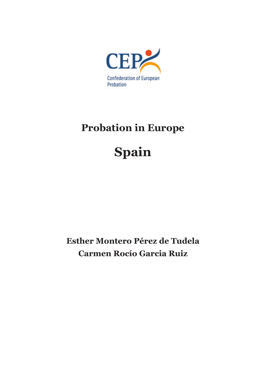

# **Probation in Europe**

# **Spain**

**Esther Montero Pérez de Tudela Carmen Rocío Garcia Ruiz**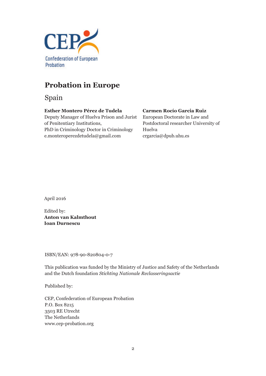

# **Probation in Europe**

Spain

## **Esther Montero Pérez de Tudela**

Deputy Manager of Huelva Prison and Jurist of Penitentiary Institutions, PhD in Criminology Doctor in Criminology e.monteroperezdetudela@gmail.com

## **Carmen Rocío Garcia Ruiz**

European Doctorate in Law and Postdoctoral researcher University of Huelva crgarcia@dpub.uhu.es

April 2016

Edited by: **Anton van Kalmthout Ioan Durnescu**

ISBN/EAN: 978-90-820804-0-7

This publication was funded by the Ministry of Justice and Safety of the Netherlands and the Dutch foundation *Stichting Nationale Reclasseringsactie*

Published by:

CEP, Confederation of European Probation P.O. Box 8215 3503 RE Utrecht The Netherlands www.cep-probation.org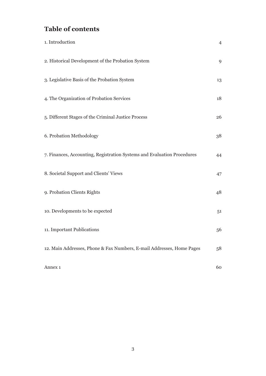# **Table of contents**

| 1. Introduction                                                         | $\overline{4}$ |
|-------------------------------------------------------------------------|----------------|
| 2. Historical Development of the Probation System                       | 9              |
| 3. Legislative Basis of the Probation System                            | 13             |
| 4. The Organization of Probation Services                               | 18             |
| 5. Different Stages of the Criminal Justice Process                     | 26             |
| 6. Probation Methodology                                                | 38             |
| 7. Finances, Accounting, Registration Systems and Evaluation Procedures | 44             |
| 8. Societal Support and Clients' Views                                  | 47             |
| 9. Probation Clients Rights                                             | 48             |
| 10. Developments to be expected                                         | 51             |
| 11. Important Publications                                              | 56             |
| 12. Main Addresses, Phone & Fax Numbers, E-mail Addresses, Home Pages   | 58             |
| Annex 1                                                                 | 60             |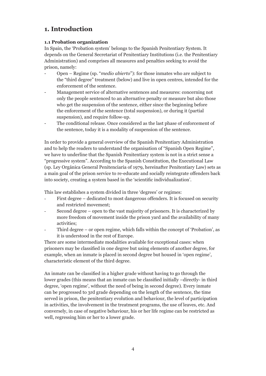## **1. Introduction**

## **1.1 Probation organization**

In Spain, the 'Probation system' belongs to the Spanish Penitentiary System. It depends on the General Secretariat of Penitentiary Institutions (i.e. the Penitentiary Administration) and comprises all measures and penalties seeking to avoid the prison, namely:

- Open Regime (sp. "*medio abierto*"): for those inmates who are subject to the "third degree" treatment (below) and live in open centres, intended for the enforcement of the sentence.
- Management service of alternative sentences and measures: concerning not only the people sentenced to an alternative penalty or measure but also those who get the suspension of the sentence, either since the beginning before the enforcement of the sentence (total suspension), or during it (partial suspension), and require follow-up.
- The conditional release. Once considered as the last phase of enforcement of the sentence, today it is a modality of suspension of the sentence.

In order to provide a general overview of the Spanish Penitentiary Administration and to help the readers to understand the organisation of "Spanish Open Regime", we have to underline that the Spanish Penitentiary system is not in a strict sense a "progressive system". According to the Spanish Constitution, the Executional Law (sp. Ley Orgánica General Penitenciaria of 1979, hereinafter Penitentiary Law) sets as a main goal of the prison service to re-educate and socially reintegrate offenders back into society, creating a system based in the 'scientific individualization'.

This law establishes a system divided in three 'degrees' or regimes:

- First degree dedicated to most dangerous offenders. It is focused on security and restricted movement;
- Second degree open to the vast majority of prisoners. It is characterized by more freedom of movement inside the prison yard and the availability of many activities;
- Third degree  $-$  or open regime, which falls within the concept of 'Probation', as it is understood in the rest of Europe.

There are some intermediate modalities available for exceptional cases: when prisoners may be classified in one degree but using elements of another degree, for example, when an inmate is placed in second degree but housed in 'open regime', characteristic element of the third degree.

An inmate can be classified in a higher grade without having to go through the lower grades (this means that an inmate can be classified initially –directly- in third degree, 'open regime', without the need of being in second degree). Every inmate can be progressed to 3rd grade depending on the length of the sentence, the time served in prison, the penitentiary evolution and behaviour, the level of participation in activities, the involvement in the treatment programs, the use of leaves, etc. And conversely, in case of negative behaviour, his or her life regime can be restricted as well, regressing him or her to a lower grade.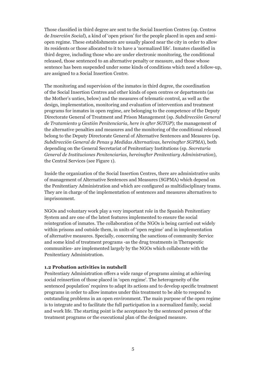Those classified in third degree are sent to the Social Insertion Centres (sp. Centros de *Inserción Social*), a kind of 'open prison' for the people placed in open and semiopen regime. These establishments are usually placed near the city in order to allow its residents or those allocated to it to have a 'normalized life'. Inmates classified in third degree, including those who are under electronic monitoring, the conditional released, those sentenced to an alternative penalty or measure, and those whose sentence has been suspended under some kinds of conditions which need a follow-up, are assigned to a Social Insertion Centre.

The monitoring and supervision of the inmates in third degree, the coordination of the Social Insertion Centres and other kinds of open centres or departments (as the Mother's unties, below) and the measures of telematic control, as well as the design, implementation, monitoring and evaluation of intervention and treatment programs for inmates in open regime, are belonging to the competence of the Deputy Directorate General of Treatment and Prison Management (sp. *Subdirección General de Tratamiento y Gestión Penitenciaria, here in after SGTGP*); the management of the alternative penalties and measures and the monitoring of the conditional released belong to the Deputy Directorate General of Alternative Sentences and Measures (sp. *Subdirección General de Penas y Medidas Alternativas, hereinafter SGPMA*), both depending on the General Secretariat of Penitentiary Institutions (sp. *Secretaría General de Instituciones Penitenciarias, hereinafter Penitentiary Administration*), the Central Services (see Figure 1).

Inside the organization of the Social Insertion Centres, there are administrative units of management of Alternative Sentences and Measures (SGPMA) which depend on the Penitentiary Administration and which are configured as multidisciplinary teams. They are in charge of the implementation of sentences and measures alternatives to imprisonment.

NGOs and voluntary work play a very important role in the Spanish Penitentiary System and are one of the latest features implemented to ensure the social reintegration of inmates. The collaboration of the NGOs is being carried out widely within prisons and outside them, in units of 'open regime' and in implementation of alternative measures. Specially, concerning the sanctions of community Service and some kind of treatment programs -as the drug treatments in Therapeutic communities- are implemented largely by the NGOs which collaborate with the Penitentiary Administration.

#### **1.2 Probation activities in nutshell**

Penitentiary Administration offers a wide range of programs aiming at achieving social reinsertion of those placed in 'open regime'. The heterogeneity of the sentenced population' requires to adapt its actions and to develop specific treatment programs in order to allow inmates under this treatment to be able to respond to outstanding problems in an open environment. The main purpose of the open regime is to integrate and to facilitate the full participation in a normalized family, social and work life. The starting point is the acceptance by the sentenced person of the treatment programs or the executional plan of the designed measure.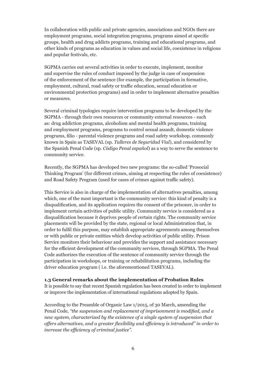In collaboration with public and private agencies, associations and NGOs there are employment programs, social integration programs, programs aimed at specific groups, health and drug addicts programs, training and educational programs, and other kinds of programs as education in values and social life, coexistence in religious and popular festivals, etc.

SGPMA carries out several activities in order to execute, implement, monitor and supervise the rules of conduct imposed by the judge in case of suspension of the enforcement of the sentence (for example, the participation in formative, employment, cultural, road safety or traffic education, sexual education or environmental protection programs) and in order to implement alternative penalties or measures.

Several criminal typologies require intervention programs to be developed by the SGPMA - through their own resources or community external resources - such as: drug addiction programs, alcoholism and mental health programs, training and employment programs, programs to control sexual assault, domestic violence programs, filio - parental violence programs and road safety workshop, commonly known in Spain as TASEVAL (sp. *Talleres de Seguridad Vial*), and considered by the Spanish Penal Code (sp. *Código Penal español*) as a way to serve the sentence to community service.

Recently, the SGPMA has developed two new programs: the so-called 'Prosocial Thinking Program' (for different crimes, aiming at respecting the rules of coexistence) and Road Safety Program (used for cases of crimes against traffic safety).

This Service is also in charge of the implementation of alternatives penalties, among which, one of the most important is the community service: this kind of penalty is a disqualification, and its application requires the consent of the prisoner, in order to implement certain activities of public utility. Community service is considered as a disqualification because it deprives people of certain rights. The community service placements will be provided by the state, regional or local Administration that, in order to fulfil this purpose, may establish appropriate agreements among themselves or with public or private entities which develop activities of public utility. Prison Service monitors their behaviour and provides the support and assistance necessary for the efficient development of the community services, through SGPMA. The Penal Code authorizes the execution of the sentence of community service through the participation in workshops, or training or rehabilitation programs, including the driver education program ( i.e. the aforementioned TASEVAL).

#### **1.3 General remarks about the implementation of Probation Rules**

It is possible to say that recent Spanish regulation has been created in order to implement or improve the implementation of international regulations adopted by Spain.

According to the Preamble of Organic Law 1/2015, of 30 March, amending the Penal Code, *"the suspension and replacement of imprisonment is modified, and a new system, characterized by the existence of a single system of suspension that offers alternatives, and a greater flexibility and efficiency is introduced" in order to increase the efficiency of criminal justice".*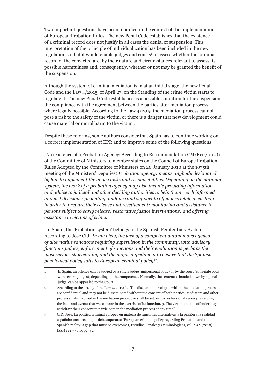Two important questions have been modified in the context of the implementation of European Probation Rules. The new Penal Code establishes that the existence of a criminal record does not justify in all cases the denial of suspension. This interpretation of the principle of individualization has been included in the new regulation so that it would enable judges and courts<sup>1</sup> to assess whether the criminal record of the convicted are, by their nature and circumstances relevant to assess its possible harmfulness and, consequently, whether or not may be granted the benefit of the suspension.

Although the system of criminal mediation is in at an initial stage, the new Penal Code and the Law 4/2015, of April 27, on the Standing of the crime victim starts to regulate it. The new Penal Code establishes as a possible condition for the suspension the compliance with the agreement between the parties after mediation process, where legally possible. According to the Law 4/2015 the mediation process cannot pose a risk to the safety of the victim, or there is a danger that new development could cause material or moral harm to the victim2 .

Despite these reforms, some authors consider that Spain has to continue working on a correct implementation of EPR and to improve some of the following questions:

-No existence of a Probation Agency: According to Recommendation CM/Rec(2010)1 of the Committee of Ministers to member states on the Council of Europe Probation Rules Adopted by the Committee of Ministers on 20 January 2010 at the 1075th meeting of the Ministers' Deputies) *Probation agency: means anybody designated by law to implement the above tasks and responsibilities. Depending on the national system, the work of a probation agency may also include providing information and advice to judicial and other deciding authorities to help them reach informed and just decisions; providing guidance and support to offenders while in custody in order to prepare their release and resettlement; monitoring and assistance to persons subject to early release; restorative justice interventions; and offering assistance to victims of crime.* 

-In Spain, the 'Probation system' belongs to the Spanish Penitentiary System. According to José Cid *"In my view, the lack of a competent autonomous agency of alternative sanctions requiring supervision in the community, with advisory functions judges, enforcement of sanctions and their evaluation is perhaps the most serious shortcoming and the major impediment to ensure that the Spanish penological policy suits to European criminal policy*<sup>3</sup> ".

<sup>1</sup> In Spain, an offence can be judged by a single judge (unipersonal body) or by the court (collegiate body with several judges), depending on the competence. Normally, the sentences handed down by a penal judge, can be appealed to the Court.

<sup>2</sup> According to the art. 15 of the Law 4/2015: "2. The discussion developed within the mediation process are confidential and may not be disseminated without the consent of both parties. Mediators and other professionals involved in the mediation procedure shall be subject to professional secrecy regarding the facts and events that were aware in the exercise of its function. 3. The victim and the offender may withdraw their consent to participate in the mediation process at any time".

<sup>3</sup> CID, José, La política criminal europea en materia de sanciones alternativas a la prisión y la realidad española: una brecha que debe superarse (European criminal policy regarding Probation and the Spanish reality: a gap that must be overcome), Estudios Penales y Criminológicos, vol. XXX (2010). ISSN 1137-7550, pg. 82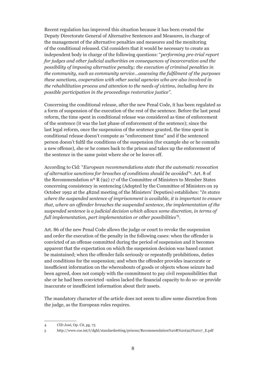Recent regulation has improved this situation because it has been created the Deputy Directorate General of Alternative Sentences and Measures, in charge of the management of the alternative penalties and measures and the monitoring of the conditional released. Cid considers that it would be necessary to create an independent body in charge of the following questions: "*performing pre-trial report for judges and other judicial authorities on consequences of incarceration and the possibility of imposing alternative penalty; the execution of criminal penalties in the community, such as community service…assessing the fulfilment of the purposes these sanctions, cooperation with other social agencies who are also involved in the rehabilitation process and attention to the needs of victims, including here its possible participation in the proceedings restorative justice".*

Concerning the conditional release, after the new Penal Code, it has been regulated as a form of suspension of the execution of the rest of the sentence. Before the last penal reform, the time spent in conditional release was considered as time of enforcement of the sentence (it was the last phase of enforcement of the sentence); since the last legal reform, once the suspension of the sentence granted, the time spent in conditional release doesn't compute as "enforcement time" and if the sentenced person doesn't fulfil the conditions of the suspension (for example she or he commits a new offense), she or he comes back to the prison and takes up the enforcement of the sentence in the same point where she or he leaves off.

According to Cid: "*European recommendations state that the automatic revocation of alternative sanctions for breaches of conditions should be avoided"<sup>4</sup>* . Art. 8 of the Recommendation nº R (92) 17 of the Committee of Ministers to Member States concerning consistency in sentencing (Adopted by the Committee of Ministers on 19 October 1992 at the 482nd meeting of the Ministers' Deputies) establishes: "*In states where the suspended sentence of imprisonment is available, it is important to ensure that, where an offender breaches the suspended sentence, the implementation of the suspended sentence is a judicial decision which allows some discretion, in terms of full implementation, part implementation or other possibilities"<sup>5</sup> .* 

Art. 86 of the new Penal Code allows the judge or court to revoke the suspension and order the execution of the penalty in the following cases: when the offender is convicted of an offense committed during the period of suspension and it becomes apparent that the expectation on which the suspension decision was based cannot be maintained; when the offender fails seriously or repeatedly prohibitions, duties and conditions for the suspension; and when the offender provides inaccurate or insufficient information on the whereabouts of goods or objects whose seizure had been agreed, does not comply with the commitment to pay civil responsibilities that she or he had been convicted -unless lacked the financial capacity to do so- or provide inaccurate or insufficient information about their assets.

The mandatory character of the article does not seem to allow some discretion from the judge, as the European rules requires.

<sup>4</sup> CID José, Op. Cit, pg. 73

<sup>5</sup> http://www.coe.int/t/dghl/standardsetting/prisons/Recommendation%20R%20(92)%2017\_E.pdf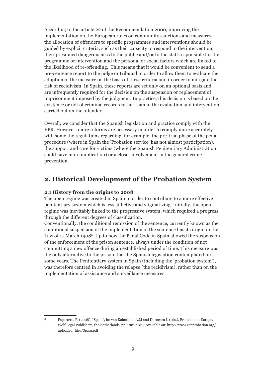According to the article 22 of the Recommendation 2000, improving the implementation on the European rules on community sanctions and measures, the allocation of offenders to specific programmes and interventions should be guided by explicit criteria, such as their capacity to respond to the intervention, their presumed dangerousness to the public and/or to the staff responsible for the programme or intervention and the personal or social factors which are linked to the likelihood of re-offending. This means that it would be convenient to send a pre-sentence report to the judge or tribunal in order to allow them to evaluate the adoption of the measure on the basis of these criteria and in order to mitigate the risk of recidivism. In Spain, these reports are set only on an optional basis and are infrequently required for the decision on the suspension or replacement of imprisonment imposed by the judgment. In practice, this decision is based on the existence or not of criminal records rather than in the evaluation and intervention carried out on the offender.

Overall, we consider that the Spanish legislation and practice comply with the EPR. However, more reforms are necessary in order to comply more accurately with some the regulations regarding, for example, the pre-trial phase of the penal procedure (where in Spain the 'Probation service' has not almost participation), the support and care for victims (where the Spanish Penitentiary Administration could have more implication) or a closer involvement in the general crime prevention.

## **2. Historical Development of the Probation System**

## **2.1 History from the origins to 2008**

The open regime was created in Spain in order to contribute to a more effective penitentiary system which is less afflictive and stigmatizing. Initially, the open regime was inevitably linked to the progressive system, which required a progress through the different degrees of classification.

Conventionally, the conditional remission of the sentence, currently known as the conditional suspension of the implementation of the sentence has its origin in the Law of 17 March 1908<sup>6</sup>. Up to now the Penal Code in Spain allowed the suspension of the enforcement of the prison sentence, always under the condition of not committing a new offence during an established period of time. This measure was the only alternative to the prison that the Spanish legislation contemplated for some years. The Penitentiary system in Spain (including the 'probation system'), was therefore centred in avoiding the relapse (the recidivism), rather than on the implementation of assistance and surveillance measures.

<sup>6</sup> Espartero, P. (2008), "Spain", in: van Kalmthout A.M and Durnescu I. (eds.), Probation in Europe. Wolf Legal Publishers, the Netherlands, pp. 1001-1024. Available on: http://www.cepprobation.org/ uploaded\_files/Spain.pdf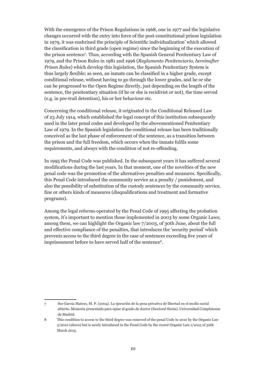With the emergence of the Prison Regulations in 1968, one in 1977 and the legislative changes occurred with the entry into force of the post-constitutional prison legislation in 1979, it was enshrined the principle of Scientific individualization' which allowed the classification in third grade (open regime) since the beginning of the execution of the prison sentence7 . Thus, according with the Spanish General Penitentiary Law of 1979, and the Prison Rules in 1981 and 1996 (*Reglamento Penitenciario, hereinafter Prison Rules*) which develop this legislation, the Spanish Penitentiary System is thus largely flexible; as seen, an inmate can be classified in a higher grade, except conditional release, without having to go through the lower grades, and he or she can be progressed to the Open Regime directly, just depending on the length of the sentence, the penitentiary situation (if he or she is recidivist or not), the time served (e.g. in pre-trail detention), his or her behaviour etc.

Concerning the conditional release, it originated in the Conditional Released Law of 23 July 1914, which established the legal concept of this institution subsequently used in the later penal codes and developed by the abovementioned Penitentiary Law of 1979. In the Spanish legislation the conditional release has been traditionally conceived as the last phase of enforcement of the sentence, as a transition between the prison and the full freedom, which occurs when the inmate fulfils some requirements, and always with the condition of not re-offending.

In 1995 the Penal Code was published. In the subsequent years it has suffered several modifications during the last years. In that moment, one of the novelties of the new penal code was the promotion of the alternatives penalties and measures. Specifically, this Penal Code introduced the community service as a penalty / punishment, and also the possibility of substitution of the custody sentences by the community service, fine or others kinds of measures (disqualifications and treatment and formative programs).

Among the legal reforms operated by the Penal Code of 1995 affecting the probation system, it's important to mention those implemented in 2003 by some Organic Laws; among them, we can highlight the Organic law 7/2003, of 30th June, about the full and effective compliance of the penalties, that introduces the 'security period' which prevents access to the third degree in the case of sentences exceeding five years of imprisonment before to have served half of the sentence<sup>8</sup>.

<sup>7</sup> See García Mateos, M. P. (2004). La ejecución de la pena privativa de libertad en el medio social abierto. Memoria presentada para optar al grado de doctor (Doctoral thesis). Universidad Complutense de Madrid.

<sup>8</sup> This condition to access to the third degree was removed of the penal Code in 2010 by the Organic Law 5/2010 (above) but is newly introduced in the Penal Code by the recent Organic Law 1/2015 of 30th March 2015.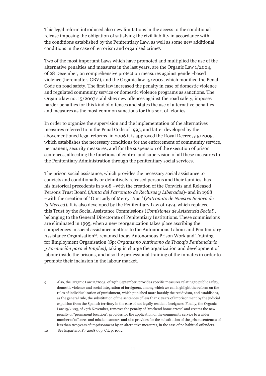This legal reform introduced also new limitations in the access to the conditional release imposing the obligation of satisfying the civil liability in accordance with the conditions established by the Penitentiary Law, as well as some new additional conditions in the case of terrorism and organised crime9 .

Two of the most important Laws which have promoted and multiplied the use of the alternative penalties and measures in the last years, are the Organic Law 1/2004, of 28 December, on comprehensive protection measures against gender-based violence (hereinafter, GBV), and the Organic law 15/2007, which modified the Penal Code on road safety. The first law increased the penalty in case of domestic violence and regulated community service or domestic violence programs as sanctions. The Organic law no. 15/2007 stablishes new offences against the road safety, imposes harder penalties for this kind of offences and states the use of alternative penalties and measures as the most common sanctions for this sort of felonies.

In order to organize the supervision and the implementation of the alternatives measures referred to in the Penal Code of 1995, and latter developed by the abovementioned legal reforms, in 2006 it is approved the Royal Decree 515/2005, which establishes the necessary conditions for the enforcement of community service, permanent, security measures, and for the suspension of the execution of prison sentences, allocating the functions of control and supervision of all these measures to the Penitentiary Administration through the penitentiary social services.

The prison social assistance, which provides the necessary social assistance to convicts and conditionally or definitively released persons and their families, has his historical precedents in 1908 –with the creation of the Convicts and Released Persons Trust Board (*Junta del Patronato de Reclusos y Liberados*)- and in 1968 –with the creation of ' Our Lady of Mercy Trust' (*Patronato de Nuestra Señora de la Merced*). It is also developed by the Penitentiary Law of 1979, which replaced this Trust by the Social Assistance Commissions (*Comisiones de Asistencia Social*), belonging to the General Directorate of Penitentiary Institutions. These commissions are eliminated in 1995, when a new reorganization takes place ascribing the competences in social assistance matters to the Autonomous Labour and Penitentiary Assistance Organisation<sup>10</sup>, renamed today Autonomous Prison Work and Training for Employment Organisation (Sp: *Organismo Autónomo de Trabajo Penitenciario y Formación para el Empleo)*, taking in charge the organization and development of labour inside the prisons, and also the professional training of the inmates in order to promote their inclusion in the labour market.

<sup>9</sup> Also, the Organic Law 11/2003, of 29th September, provides specific measures relating to public safety, domestic violence and social integration of foreigners, among which we can highlight the reform on the rules of individualization of punishment, which punished more harshly the recidivism, and establishes, as the general rule, the substitution of the sentences of less than 6 years of imprisonment by the judicial expulsion from the Spanish territory in the case of not legally resident foreigners. Finally, the Organic Law 15/2003, of 25th November, removes the penalty of "weekend home arrest" and creates the new penalty of "permanent location", provides for the application of the community service to a wider number of offences and misdemeanours and also provides for the substitution of the prison sentences of less than two years of imprisonment by an alternative measures, in the case of no habitual offenders. 10 See Espartero, P. (2008), op. Cit, p. 1002.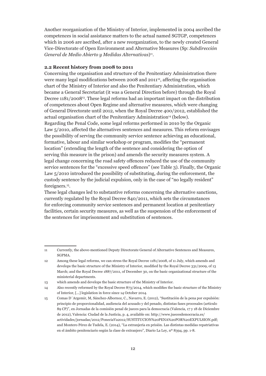Another reorganization of the Ministry of Interior, implemented in 2004 ascribed the competences in social assistance matters to the actual named SGTGP, competences which in 2006 are ascribed, after a new reorganization, to the newly created General Vice-Directorate of Open Environment and Alternative Measures (Sp: *Subdirección General de Medio Abierto y Medidas Alternativas*)11.

## **2.2 Recent history from 2008 to 2011**

Concerning the organisation and structure of the Penitentiary Administration there were many legal modifications between 2008 and  $2011<sup>2</sup>$ , affecting the organisation chart of the Ministry of Interior and also the Penitentiary Administration, which became a General Secretariat (it was a General Direction before) through the Royal Decree 1181/200813. These legal reforms had an important impact on the distribution of competences about Open Regime and alternative measures, which were changing of General Directorate until 2012, when the Royal Decree 400/2012, established the actual organisation chart of the Penitentiary Administration<sup>14</sup> (below). Regarding the Penal Code, some legal reforms performed in 2010 by the Organic Law 5/2010, affected the alternatives sentences and measures. This reform envisages the possibility of serving the community service sentence achieving an educational, formative, labour and similar workshop or program, modifies the "permanent location" (extending the length of the sentence and considering the option of serving this measure in the prison) and amends the security measures system. A legal change concerning the road safety offences reduced the use of the community service sentences for the "excessive speed offences" (see Table 3). Finally, the Organic Law 5/2010 introduced the possibility of substituting, during the enforcement, the custody sentence by the judicial expulsion, only in the case of "no legally resident" foreigners.15.

These legal changes led to substantive reforms concerning the alternative sanctions, currently regulated by the Royal Decree 840/2011, which sets the circumstances for enforcing community service sentences and permanent location at penitentiary facilities, certain security measures, as well as the suspension of the enforcement of the sentences for imprisonment and substitution of sentences.

<sup>11</sup> Currently, the above-mentioned Deputy Directorate General of Alternative Sentences and Measures, SGPMA.

<sup>12</sup> Among these legal reforms, we can stress the Royal Decree 1181/2008, of 11 July, which amends and develops the basic structure of the Ministry of Interior, modified by the Royal Decree 331/2009, of 13 March; and the Royal Decree 1887/2011, of December 30, on the basic organizational structure of the ministerial departments.

<sup>13</sup> which amends and develops the basic structure of the Ministry of Interior.

<sup>14</sup> Also recently reformed by the Royal Decree 873/2014, which modifies the basic structure of the Ministry of Interior, [...] legislation in force since 14 October 2014.

<sup>15</sup> Comas D´Argemir, M, Sánchez-Albornoz, C., Navarro, E. (2012), "Sustitución de la pena por expulsión: principio de proporcionalidad, audiencia del acusado y del penado, distintas fases procesales (artículo 89 CP)", en Jornadas de la comisión penal de jueces para la democracia (Valencia, 17 y 18 de Diciembre de 2012), Valencia: Ciudad de la Justicia, p. 4, available on: http://www.juecesdemocracia.es/ actividades/jornadas/2012/PoneciaVa2012/SUSTITUCION%20PENA%20POR%20EXPULSION.pdf; and Montero Pérez de Tudela, E. (2014), "La extranjería en prisión. Las distintas medidas repatriativas en el ámbito penitenciario según la clase de extranjero", Diario La Ley, nº 8394, pp. 1-8.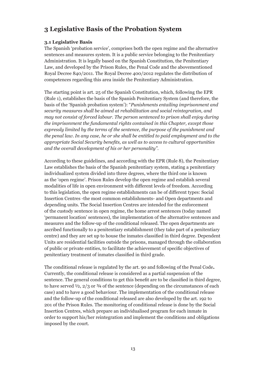## **3 Legislative Basis of the Probation System**

## **3.1 Legislative Basis**

The Spanish 'probation service', comprises both the open regime and the alternative sentences and measures system. It is a public service belonging to the Penitentiary Administration. It is legally based on the Spanish Constitution, the Penitentiary Law, and developed by the Prison Rules, the Penal Code and the abovementioned Royal Decree 840/2011. The Royal Decree 400/2012 regulates the distribution of competences regarding this area inside the Penitentiary Administration.

The starting point is art. 25 of the Spanish Constitution, which, following the EPR (Rule 1), establishes the basis of the Spanish Penitentiary System (and therefore, the basis of the 'Spanish probation system'): "*Punishments entailing imprisonment and security measures shall be aimed at rehabilitation and social reintegration, and may not consist of forced labour. The person sentenced to prison shall enjoy during the imprisonment the fundamental rights contained in this Chapter, except those expressly limited by the terms of the sentence, the purpose of the punishment and the penal law. In any case, he or she shall be entitled to paid employment and to the appropriate Social Security benefits, as well as to access to cultural opportunities and the overall development of his or her personality"*.

According to these guidelines, and according with the EPR (Rule 8), the Penitentiary Law establishes the basis of the Spanish penitentiary system, stating a penitentiary individualized system divided into three degrees, where the third one is known as the 'open regime'. Prison Rules develop the open regime and establish several modalities of life in open environment with different levels of freedom. According to this legislation, the open regime establishments can be of different types: Social Insertion Centres -the most common establishments- and Open departments and depending units. The Social Insertion Centres are intended for the enforcement of the custody sentence in open regime, the home arrest sentences (today named 'permanent location' sentences), the implementation of the alternative sentences and measures and the follow-up of the conditional released. The open departments are ascribed functionally to a penitentiary establishment (they take part of a penitentiary centre) and they are set up to house the inmates classified in third degree. Dependent Units are residential facilities outside the prisons, managed through the collaboration of public or private entities, to facilitate the achievement of specific objectives of penitentiary treatment of inmates classified in third grade.

The conditional release is regulated by the art. 90 and following of the Penal Code**.**  Currently, the conditional release is considered as a partial suspension of the sentence. The general conditions to get this benefit are to be classified in third degree, to have served  $\frac{1}{2}$ ,  $\frac{2}{3}$  or  $\frac{3}{4}$  of the sentence (depending on the circumstances of each case) and to have a good behaviour. The implementation of the conditional release and the follow-up of the conditional released are also developed by the art. 192 to 201 of the Prison Rules. The monitoring of conditional release is done by the Social Insertion Centres, which prepare an individualised program for each inmate in order to support his/her reintegration and implement the conditions and obligations imposed by the court.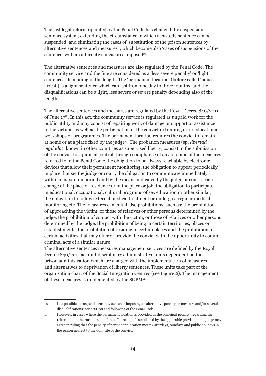The last legal reform operated by the Penal Code has changed the suspension sentence system, extending the circumstance in which a custody sentence can be suspended, and eliminating the cases of 'substitution of the prison sentences by alternative sentences and measures' , which become also 'cases of suspensions of the sentence' with an alternative measures imposed<sup>16</sup>.

The alternative sentences and measures are also regulated by the Penal Code. The community service and the fine are considered as a 'less severe penalty' or 'light sentences' depending of the length. The 'permanent location' (before called 'house arrest') is a light sentence which can last from one day to three months, and the disqualifications can be a light, less severe or severe penalty depending also of the length.

The alternative sentences and measures are regulated by the Royal Decree 840/2011 of June  $17<sup>th</sup>$ . In this act, the community service is regulated as unpaid work for the public utility and may consist of repairing work of damage or support or assistance to the victims, as well as the participation of the convict in training or re-educational workshops or programmes. The permanent location requires the convict to remain at home or at a place fixed by the judge17. The probation measures (sp. *libertad vigilada*), known in other countries as supervised liberty, consist in the submission of the convict to a judicial control through compliance of any or some of the measures referred to in the Penal Code: the obligation to be always reachable by electronic devices that allow their permanent monitoring, the obligation to appear periodically in place that set the judge or court, the obligation to communicate immediately, within a maximum period and by the means indicated by the judge or court , each change of the place of residence or of the place or job, the obligation to participate in educational, occupational, cultural programs of sex education or other similar, the obligation to follow external medical treatment or undergo a regular medical monitoring etc. The measures can entail also prohibitions, such as: the prohibition of approaching the victim, or those of relatives or other persons determined by the judge, the prohibition of contact with the victim, or those of relatives or other persons determined by the judge, the prohibition of being in certain territories, places or establishments, the prohibition of residing in certain places and the prohibition of certain activities that may offer or provide the convict with the opportunity to commit criminal acts of a similar nature

The alternative sentences measures management services are defined by the Royal Decree 840/2011 as multidisciplinary administrative units dependent on the prison administration which are charged with the implementation of measures and alternatives to deprivation of liberty sentences. These units take part of the organisation chart of the Social Integration Centres (see Figure 2). The management of these measures is implemented by the SGPMA.

<sup>16</sup> It is possible to suspend a custody sentence imposing an alternative penalty or measure and/or several disqualifications; see arts. 80 and following of the Penal Code.

<sup>17</sup> However, in cases where the permanent location is provided as the principal penalty, regarding the reiteration in the commission of the offence and if established by the applicable provision, the judge may agree in ruling that the penalty of permanent location meets Saturdays, Sundays and public holidays in the prison nearest to the domicile of the convict.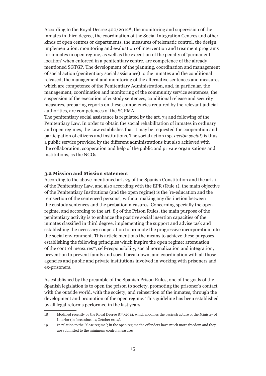According to the Royal Decree 400/2012<sup>18</sup>, the monitoring and supervision of the inmates in third degree, the coordination of the Social Integration Centres and other kinds of open centres or departments, the measures of telematic control, the design, implementation, monitoring and evaluation of intervention and treatment programs for inmates in open regime, as well as the execution of the penalty of 'permanent location' when enforced in a penitentiary centre, are competence of the already mentioned SGTGP. The development of the planning, coordination and management of social action (penitentiary social assistance) to the inmates and the conditional released, the management and monitoring of the alternative sentences and measures which are competence of the Penitentiary Administration, and, in particular, the management, coordination and monitoring of the community service sentences, the suspension of the execution of custody sentences, conditional release and security measures, preparing reports on these competencies required by the relevant judicial authorities, are competences of the SGPMA.

The penitentiary social assistance is regulated by the art. 74 and following of the Penitentiary Law. In order to obtain the social rehabilitation of inmates in ordinary and open regimes, the Law establishes that it may be requested the cooperation and participation of citizens and institutions. The social action (sp. *acción social*) is thus a public service provided by the different administrations but also achieved with the collaboration, cooperation and help of the public and private organisations and institutions, as the NGOs.

#### **3.2 Mission and Mission statement**

According to the above-mentioned art. 25 of the Spanish Constitution and the art. 1 of the Penitentiary Law, and also according with the EPR (Rule 1), the main objective of the Penitentiary Institutions (and the open regime) is the 're-education and the reinsertion of the sentenced persons', without making any distinction between the custody sentences and the probation measures. Concerning specially the open regime, and according to the art. 83 of the Prison Rules, the main purpose of the penitentiary activity is to enhance the positive social insertion capacities of the inmates classified in third degree, implementing the support and advise task and establishing the necessary cooperation to promote the progressive incorporation into the social environment. This article mentions the means to achieve these purposes, establishing the following principles which inspire the open regime: attenuation of the control measures<sup>19</sup>, self-responsibility, social normalization and integration, prevention to prevent family and social breakdown, and coordination with all those agencies and public and private institutions involved in working with prisoners and ex-prisoners.

As established by the preamble of the Spanish Prison Rules, one of the goals of the Spanish legislation is to open the prison to society, promoting the prisoner's contact with the outside world, with the society, and reinsertion of the inmates, through the development and promotion of the open regime. This guideline has been established by all legal reforms performed in the last years.

<sup>18</sup> Modified recently by the Royal Decree 873/2014, which modifies the basic structure of the Ministry of Interior (in force since 14 October 2014).

<sup>19</sup> In relation to the "close regime"; in the open regime the offenders have much more freedom and they are submitted to the minimum control measures.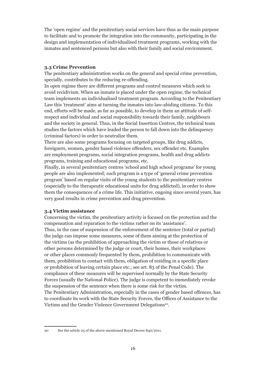The 'open regime' and the penitentiary social services have thus as the main purpose to facilitate and to promote the integration into the community, participating in the design and implementation of individualised treatment programs, working with the inmates and sentenced persons but also with their family and social environment.

## **3.3 Crime Prevention**

The penitentiary administration works on the general and special crime prevention, specially, contributes to the reducing re-offending.

In open regime there are different programs and control measures which seek to avoid recidivism. When an inmate is placed under the open regime, the technical team implements an individualised treatment program. According to the Penitentiary Law this 'treatment' aims at turning the inmates into law-abiding citizens. To this end, efforts will be made, as far as possible, to develop in them an attitude of selfrespect and individual and social responsibility towards their family, neighbours and the society in general. Thus, in the Social Insertion Centres, the technical team studies the factors which have leaded the person to fall down into the delinquency (criminal factors) in order to neutralize them.

There are also some programs focusing on targeted groups, like drug addicts, foreigners, women, gender based violence offenders, sex offender etc. Examples are employment programs, social integration programs, health and drug addicts programs, training and educational programs, etc.

Finally, in several penitentiary centres 'school and high school programs' for young people are also implemented; such program is a type of 'general crime prevention program' based on regular visits of the young students to the penitentiary centres (especially to the therapeutic educational units for drug addicted), in order to show them the consequences of a crime life. This initiative, ongoing since several years, has very good results in crime prevention and drug prevention.

#### **3.4 Victim assistance**

Concerning the victim, the penitentiary activity is focused on the protection and the compensation and reparation to the victims rather on its 'assistance'. Thus, in the case of suspension of the enforcement of the sentence (total or partial) the judge can impose some measures, some of them aiming at the protection of the victims (as the prohibition of approaching the victim or those of relatives or other persons determined by the judge or court, their homes, their workplaces or other places commonly frequented by them, prohibition to communicate with them, prohibition to contact with them, obligation of residing in a specific place or prohibition of leaving certain place etc.; see art. 83 of the Penal Code). The compliance of these measures will be supervised normally by the State Security Forces (usually the National Police). The judge is competent to immediately revoke the suspension of the sentence when there is some risk for the victim. The Penitentiary Administration, especially in the cases of gender based offences, has to coordinate its work with the State Security Forces, the Offices of Assistance to the Victims and the Gender Violence Government Delegations<sup>20</sup>.

<sup>20</sup> See the article 25 of the above-mentioned Royal Decree 840/2011.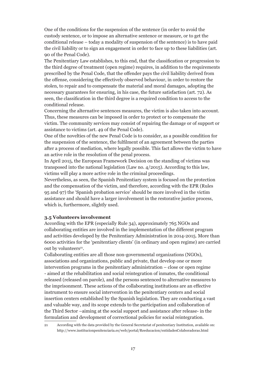One of the conditions for the suspension of the sentence (in order to avoid the custody sentence, or to impose an alternative sentence or measure, or to get the conditional release – today a modality of suspension of the sentence) is to have paid the civil liability or to sign an engagement in order to face up to these liabilities (art. 90 of the Penal Code).

The Penitentiary Law establishes, to this end, that the classification or progression to the third degree of treatment (open regime) requires, in addition to the requirements prescribed by the Penal Code, that the offender pays the civil liability derived from the offense, considering the effectively observed behaviour, in order to restore the stolen, to repair and to compensate the material and moral damages, adopting the necessary guarantees for ensuring, in his case, the future satisfaction (art. 72). As seen, the classification in the third degree is a required condition to access to the conditional release.

Concerning the alternative sentences measures, the victim is also taken into account. Thus, these measures can be imposed in order to protect or to compensate the victim. The community services may consist of repairing the damage or of support or assistance to victims (art. 49 of the Penal Code).

One of the novelties of the new Penal Code is to consider, as a possible condition for the suspension of the sentence, the fulfilment of an agreement between the parties after a process of mediation, where legally possible. This fact allows the victim to have an active role in the resolution of the penal process.

In April 2015, the European Framework Decision on the standing of victims was transposed into the national legislation (Law no. 4/2015). According to this law, victims will play a more active role in the criminal proceedings.

Nevertheless, as seen, the Spanish Penitentiary system is focused on the protection and the compensation of the victim, and therefore, according with the EPR (Rules 95 and 97) the 'Spanish probation service' should be more involved in the victim assistance and should have a larger involvement in the restorative justice process, which is, furthermore, slightly used.

## **3.5 Volunteers involvement**

According with the EPR (especially Rule 34), approximately 765 NGOs and collaborating entities are involved in the implementation of the different program and activities developed by the Penitentiary Administration in 2014-2015. More than 6000 activities for the 'penitentiary clients' (in ordinary and open regime) are carried out by volunteers<sup>21</sup>.

Collaborating entities are all those non-governmental organizations (NGOs), associations and organizations, public and private, that develop one or more intervention programs in the penitentiary administration – close or open regime - aimed at the rehabilitation and social reintegration of inmates, the conditional released (released on parole), and the persons sentenced to alternative measures to the imprisonment. These actions of the collaborating institutions are an effective instrument to ensure social intervention in the penitentiary centers and social insertion centers established by the Spanish legislation. They are conducting a vast and valuable way, and its scope extends to the participation and collaboration of the Third Sector –aiming at the social support and assistance after release- in the formulation and development of correctional policies for social reintegration.

21 According with the data provided by the General Secretariat of penitentiary Institution, available on: http://www.institucionpenitenciaria.es/web/portal/Reeducacion/entidadesColaboradoras.html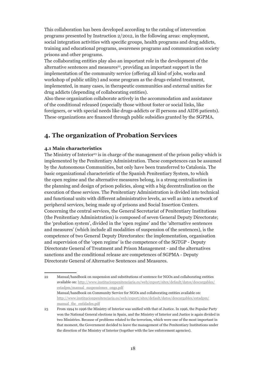This collaboration has been developed according to the catalog of intervention programs presented by Instruction 2/2012, in the following areas: employment, social integration activities with specific groups, health programs and drug addicts, training and educational programs, awareness programs and communication society prisons and other programs.

The collaborating entities play also an important role in the development of the alternative sentences and measures<sup>22</sup>, providing an important support in the implementation of the community service (offering all kind of jobs, works and workshop of public utility) and some program as the drugs-related treatment, implemented, in many cases, in therapeutic communities and external unities for drug addicts (depending of collaborating entities).

Also these organization collaborate actively in the accommodation and assistance of the conditional released (especially those without foster or social links, like foreigners, or with special needs like drugs-addicts or ill persons and AIDS patients). These organizations are financed through public subsidies granted by the SGPMA.

## **4. The organization of Probation Services**

## **4.1 Main characteristics**

The Ministry of Interior<sup>23</sup> is in charge of the management of the prison policy which is implemented by the Penitentiary Administration. These competences can be assumed by the Autonomous Communities, but only have been transferred to Catalonia. The basic organizational characteristic of the Spanish Penitentiary System, to which the open regime and the alternative measures belong, is a strong centralization in the planning and design of prison policies, along with a big decentralization on the execution of these services. The Penitentiary Administration is divided into technical and functional units with different administrative levels, as well as into a network of peripheral services, being made up of prisons and Social Insertion Centers. Concerning the central services, the General Secretariat of Penitentiary Institutions (the Penitentiary Administration) is composed of seven General Deputy Directorate; the 'probation system', divided in the 'open regime' and the 'alternative sentences and measures' (which include all modalities of suspension of the sentences), is the competence of two General Deputy Directorates: the implementation, organisation and supervision of the 'open regime' is the competence of the SGTGP - Deputy Directorate General of Treatment and Prison Management - and the alternatives sanctions and the conditional release are competences of SGPMA - Deputy Directorate General of Alternative Sentences and Measures.

<sup>22</sup> Manual/handbook on suspension and substitutions of sentence for NGOs and collaborating entities available on: http://www.institucionpenitenciaria.es/web/export/sites/default/datos/descargables/ estadpm/manual\_suspensiones\_ongs.pdf Manual/handbook on Community Service for NGOs and collaborating entities available on: http://www.institucionpenitenciaria.es/web/export/sites/default/datos/descargables/estadpm/ manual tbc entidades.pdf

<sup>23</sup> From 1994 to 1996 the Ministry of Interior was unified with that of Justice. In 1996, the Popular Party won the National General elections in Spain, and the Ministry of Interior and Justice is again divided in two Ministries. Because of problems related to the terrorism, which were one of the most important in that moment, the Government decided to leave the management of the Penitentiary Institutions under the direction of the Ministry of Interior (together with the law enforcement agencies).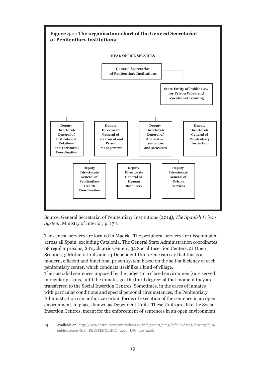

Source: General Secretariat of Penitentiary Institutions (2014), *The Spanish Prison System*, Ministry of Interior, p. 17<sup>24</sup>.

The central services are located in Madrid. The peripheral services are disseminated across all Spain, excluding Catalonia. The General State Administration coordinates 68 regular prisons, 2 Psychiatric Centers, 32 Social Insertion Centers, 21 Open Sections, 3 Mothers Units and 14 Dependent Units. One can say that this is a modern, efficient and functional prison system based on the self-sufficiency of each penitentiary center, which conducts itself like a kind of village. The custodial sentences imposed by the judge (in a closed environment) are served in regular prisons, until the inmates get the third degree; at that moment they are transferred to the Social Insertion Centres. Sometimes, in the cases of inmates with particular conditions and special personal circumstances, the Penitentiary Administration can authorize certain forms of execution of the sentence in an open environment, in places known as Dependent Units. These Units are, like the Social Insertion Centres, meant for the enforcement of sentences in an open environment.

<sup>24</sup> Available on: http://www.institucionpenitenciaria.es/web/export/sites/default/datos/descargables/ publicaciones/SIS.\_PENITENCIARIO\_2014\_ING\_acc\_2.pdf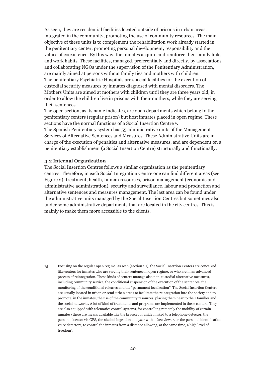As seen, they are residential facilities located outside of prisons in urban areas, integrated in the community, promoting the use of community resources. The main objective of these units is to complement the rehabilitation work already started in the penitentiary center, promoting personal development, responsibility and the values of coexistence. By this way, the inmates acquire and reinforce their family links and work habits. These facilities, managed, preferentially and directly, by associations and collaborating NGOs under the supervision of the Penitentiary Administration, are mainly aimed at persons without family ties and mothers with children. The penitentiary Psychiatric Hospitals are special facilities for the execution of custodial security measures by inmates diagnosed with mental disorders. The Mothers Units are aimed at mothers with children until they are three years old, in order to allow the children live in prisons with their mothers, while they are serving their sentences.

The open section, as its name indicates, are open departments which belong to the penitentiary centers (regular prison) but host inmates placed in open regime. These sections have the normal functions of a Social Insertion Centre<sup>25</sup>.

The Spanish Penitentiary system has 55 administrative units of the Management Services of Alternative Sentences and Measures. These Administrative Units are in charge of the execution of penalties and alternative measures, and are dependent on a penitentiary establishment (a Social Insertion Centre) structurally and functionally.

#### **4.2 Internal Organization**

The Social Insertion Centres follows a similar organization as the penitentiary centres. Therefore, in each Social Integration Centre one can find different areas (see Figure 2): treatment, health, human resources, prison management (economic and administrative administration), security and surveillance, labour and production and alternative sentences and measures management. The last area can be found under the administrative units managed by the Social Insertion Centres but sometimes also under some administrative departments that are located in the city centres. This is mainly to make them more accessible to the clients.

<sup>25</sup> Focusing on the regular open regime, as seen (section 1.1), the Social Insertion Centers are conceived like centers for inmates who are serving their sentence in open regime, or who are in an advanced process of reintegration. These kinds of centers manage also non-custodial alternative measures, including community service, the conditional suspension of the execution of the sentences, the monitoring of the conditional releases and the "permanent localization". The Social Insertion Centers are usually located in urban or semi-urban areas to facilitate the reintegration into the society and to promote, in the inmates, the use of the community resources, placing them near to their families and the social networks. A lot of kind of treatments and programs are implemented in these centers. They are also equipped with telematics control systems, for controlling remotely the mobility of certain inmates (there are means available like the bracelet or anklet linked to a telephone detector, the personal locater via GPS, the alcohol ingestion analyzer with a face viewer, or the personal identification voice detectors, to control the inmates from a distance allowing, at the same time, a high level of freedom).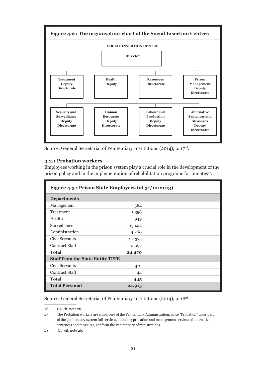

Source: General Secretariat of Penitentiary Institutions (2014), p. 1726.

#### **4.2.1 Probation workers**

Employees working in the prison system play a crucial role in the development of the prison policy and in the implementation of rehabilitation programs for inmates<sup>27</sup>.

|                                         | Figure 4.3 : Prison State Employees (at 31/12/2013) |  |
|-----------------------------------------|-----------------------------------------------------|--|
| <b>Departments</b>                      |                                                     |  |
| Management                              | 384                                                 |  |
| Treatment                               | 1.358                                               |  |
| Health                                  | 949                                                 |  |
| Surveillance                            | 15.422                                              |  |
| Administration                          | 4.260                                               |  |
| Civil Servants                          | 22.373                                              |  |
| <b>Contract Staff</b>                   | 2.097                                               |  |
| <b>Total</b>                            | 24.470                                              |  |
| <b>Staff from the State Entity TPFE</b> |                                                     |  |
| Civil Servants                          | 401                                                 |  |
| <b>Contract Staff</b>                   | 44                                                  |  |
| <b>Total</b>                            | 445                                                 |  |
| <b>Total Personal</b>                   | 24.915                                              |  |

Source: General Secretariat of Penitentiary Institutions (2014), p. 1828.

26 Op. cit. note 26.

<sup>27</sup> The Probation workers are employees of the Penitentiary Administration, since "Probation" takes part of the penitentiary system (all services, including probation and management services of alternative sentences and measures, conform the Penitentiary administration).

<sup>28</sup> Op. cit. note 26.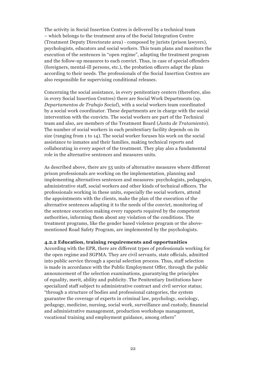The activity in Social Insertion Centres is delivered by a technical team – which belongs to the treatment area of the Social Integration Centre (Treatment Deputy Directorate area) - composed by jurists (prison lawyers), psychologists, educators and social workers. This team plans and monitors the execution of the sentences in "open regime", adapting the treatment program and the follow-up measures to each convict. Thus, in case of special offenders (foreigners, mental-ill persons, etc.), the probation officers adapt the plans according to their needs. The professionals of the Social Insertion Centres are also responsible for supervising conditional releases.

Concerning the social assistance, in every penitentiary centers (therefore, also in every Social Insertion Centres) there are Social Work Departments (sp. *Departamentos de Trabajo Social*), with a social workers team coordinated by a social work coordinator. These departments are in charge with the social intervention with the convicts. The social workers are part of the Technical team and also, are members of the Treatment Board (*Junta de Tratamiento*). The number of social workers in each penitentiary facility depends on its size (ranging from 1 to 14). The social worker focuses his work on the social assistance to inmates and their families, making technical reports and collaborating in every aspect of the treatment. They play also a fundamental role in the alternative sentences and measures units.

As described above, there are 55 units of alternative measures where different prison professionals are working on the implementation, planning and implementing alternatives sentences and measures: psychologists, pedagogics, administrative staff, social workers and other kinds of technical officers. The professionals working in these units, especially the social workers, attend the appointments with the clients, make the plan of the execution of the alternative sentences adapting it to the needs of the convict, monitoring of the sentence execution making every rapports required by the competent authorities, informing them about any violation of the conditions. The treatment programs, like the gender based violence program or the abovementioned Road Safety Program, are implemented by the psychologists.

#### **4.2.2 Education, training requirements and opportunities**

According with the EPR, there are different types of professionals working for the open regime and SGPMA. They are civil servants, state officials, admitted into public service through a special selection process. Thus, staff selection is made in accordance with the Public Employment Offer, through the public announcement of the selection examinations, guarantying the principles of equality, merit, ability and publicity. The Penitentiary Institutions have specialized staff subject to administrative contract and civil service status; "through a structure of bodies and professional categories, the system guarantee the coverage of experts in criminal law, psychology, sociology, pedagogy, medicine, nursing, social work, surveillance and custody, financial and administrative management, production workshops management, vocational training and employment guidance, among others"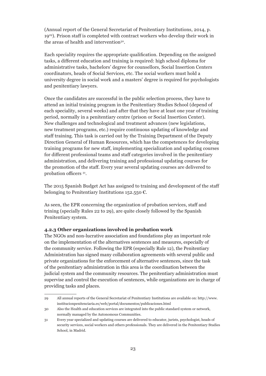(Annual report of the General Secretariat of Penitentiary Institutions, 2014, p. 1929). Prison staff is completed with contract workers who develop their work in the areas of health and intervention<sup>30</sup>.

Each speciality requires the appropriate qualification. Depending on the assigned tasks, a different education and training is required: high school diploma for administrative tasks, bachelors' degree for counsellors, Social Insertion Centers coordinators, heads of Social Services, etc. The social workers must hold a university degree in social work and a masters' degree is required for psychologists and penitentiary lawyers.

Once the candidates are successful in the public selection process, they have to attend an initial training program in the Penitentiary Studies School (depend of each speciality, several weeks) and after that they have at least one year of training period, normally in a penitentiary centre (prison or Social Insertion Center). New challenges and technological and treatment advances (new legislations, new treatment programs, etc.) require continuous updating of knowledge and staff training. This task is carried out by the Training Department of the Deputy Direction General of Human Resources, which has the competences for developing training programs for new staff, implementing specialization and updating courses for different professional teams and staff categories involved in the penitentiary administration, and delivering training and professional updating courses for the promotion of the staff. Every year several updating courses are delivered to probation officers 31.

The 2015 Spanish Budget Act has assigned to training and development of the staff belonging to Penitentiary Institutions 152.550  $\epsilon$ .

As seen, the EPR concerning the organization of probation services, staff and trining (specially Rules 22 to 29), are quite closely followed by the Spanish Penitentiary system.

## **4.2.3 Other organizations involved in probation work**

The NGOs and non-lucrative association and foundations play an important role on the implementation of the alternatives sentences and measures, especially of the community service. Following the EPR (especially Rule 12), the Penitentiary Administration has signed many collaboration agreements with several public and private organizations for the enforcement of alternative sentences, since the task of the penitentiary administration in this area is the coordination between the judicial system and the community resources. The penitentiary administration must supervise and control the execution of sentences, while organizations are in charge of providing tasks and places.

<sup>29</sup> All annual reports of the General Secretariat of Penitentiary Institutions are available on: http://www. institucionpenitenciaria.es/web/portal/documentos/publicaciones.html

<sup>30</sup> Also the Health and education services are integrated into the public standard system or network, normally managed by the Autonomous Communities.

<sup>31</sup> Every year specialized and updating courses are delivered to educator, jurists, psychologist, heads of security services, social workers and others professionals. They are delivered in the Penitentiary Studies School, in Madrid.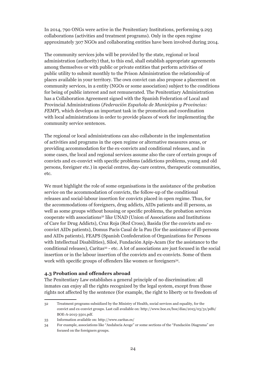In 2014, 790 ONGs were active in the Penitentiary Institutions, performing 9.293 collaborations (activities and treatment programs). Only in the open regime approximately 307 NGOs and collaborating entities have been involved during 2014.

The community services jobs will be provided by the state, regional or local administration (authority) that, to this end, shall establish appropriate agreements among themselves or with public or private entities that perform activities of public utility to submit monthly to the Prison Administration the relationship of places available in your territory. The own convict can also propose a placement on community services, in a entity (NGOs or some association) subject to the conditions for being of public interest and not remunerated. The Penitentiary Administration has a Collaboration Agreement signed with the Spanish Federation of Local and Provincial Administrations (*Federación Española de Municipios y Provincias: FEMP*), which develops an important task in the promotion and coordination with local administrations in order to provide places of work for implementing the community service sentences.

The regional or local administrations can also collaborate in the implementation of activities and programs in the open regime or alternative measures areas, or providing accommodation for the ex-convicts and conditional releases, and in some cases, the local and regional services assume also the care of certain groups of convicts and ex-convict with specific problems (addictions problems, young and old persons, foreigner etc.) in special centres, day-care centres, therapeutic communities, etc.

We must highlight the role of some organisations in the assistance of the probation service on the accommodation of convicts, the follow-up of the conditional releases and social-labour insertion for convicts placed in open regime. Thus, for the accommodations of foreigners, drug addicts, AIDs patients and ill persons, as well as some groups without housing or specific problems, the probation services cooperate with associations<sup>32</sup> like UNAD (Union of Associations and Institutions of Care for Drug Addicts), Cruz Roja (Red Cross), Basida (for the convicts and exconvict AIDs patients), Domus Pacis Casal de la Pau (for the assistance of ill-persons and AIDs patients), FEAPS (Spanish Confederation of Organizations for Persons with Intellectual Disabilities), Siloé, Fundación Apip-Acam (for the assistance to the conditional releases), Caritas33 - etc. A lot of associations are just focused in the social insertion or in the labour insertion of the convicts and ex-convicts. Some of them work with specific groups of offenders like women or foreigners<sup>34</sup>.

#### **4.3 Probation and offenders abroad**

The Penitentiary Law establishes a general principle of no discrimination: all inmates can enjoy all the rights recognized by the legal system, except from those rights not affected by the sentence (for example, the right to liberty or to freedom of

<sup>32</sup> Treatment programs subsidized by the Ministry of Health, social services and equality, for the convict and ex-convict groups. Last call available on: http://www.boe.es/boe/dias/2015/03/31/pdfs/ BOE-A-2015-3501.pdf.

<sup>33</sup> Information available on: http://www.caritas.es/

<sup>34</sup> For example, associations like "Andalucía Acoge" or some sections of the "Fundación Diagrama" are focused on the foreigners groups.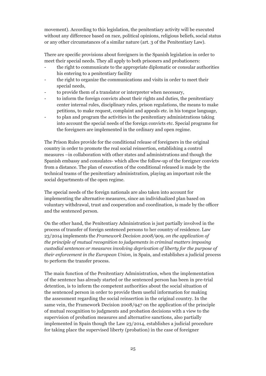movement). According to this legislation, the penitentiary activity will be executed without any difference based on race, political opinions, religious beliefs, social status or any other circumstances of a similar nature (art. 3 of the Penitentiary Law).

There are specific provisions about foreigners in the Spanish legislation in order to meet their special needs. They all apply to both prisoners and probationers:

- the right to communicate to the appropriate diplomatic or consular authorities his entering to a penitentiary facility
- the right to organize the communications and visits in order to meet their special needs,
- to provide them of a translator or interpreter when necessary,
- to inform the foreign convicts about their rights and duties, the penitentiary center internal rules, disciplinary rules, prison regulations, the means to make petitions, to make request, complaint and appeals etc. in his tongue language,
- to plan and program the activities in the penitentiary administrations taking into account the special needs of the foreign convicts etc. Special programs for the foreigners are implemented in the ordinary and open regime.

The Prison Rules provide for the conditional release of foreigners in the original country in order to promote the real social reinsertion, establishing a control measures –in collaboration with other states and administrations and though the Spanish embassy and consulates- which allow the follow-up of the foreigner convicts from a distance. The plan of execution of the conditional released is made by the technical teams of the penitentiary administration, playing an important role the social departments of the open regime.

The special needs of the foreign nationals are also taken into account for implementing the alternative measures, since an individualized plan based on voluntary withdrawal, trust and cooperation and coordination, is made by the officer and the sentenced person.

On the other hand, the Penitentiary Administration is just partially involved in the process of transfer of foreign sentenced persons to her country of residence. Law 23/2014 implements the *Framework Decision 2008/909, on the application of the principle of mutual recognition to judgements in criminal matters imposing custodial sentences or measures involving deprivation of liberty for the purpose of their enforcement in the European Union*, in Spain, and establishes a judicial process to perform the transfer process.

The main function of the Penitentiary Administration, when the implementation of the sentence has already started or the sentenced person has been in pre-trial detention, is to inform the competent authorities about the social situation of the sentenced person in order to provide them useful information for making the assessment regarding the social reinsertion in the original country. In the same vein, the Framework Decision 2008/947 on the application of the principle of mutual recognition to judgments and probation decisions with a view to the supervision of probation measures and alternative sanctions, also partially implemented in Spain though the Law 23/2014, establishes a judicial procedure for taking place the supervised liberty (probation) in the case of foreigner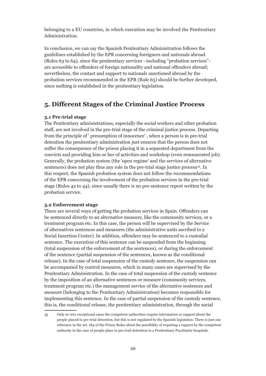belonging to a EU countries, in which execution may be involved the Penitentiary Administration.

In conclusion, we can say the Spanish Penitentiary Administration follows the guidelines established by the EPR concerning foreigners and nationals abroad (Rules 63 to 64), since the penitentiary services –including "probation services" are accessible to offenders of foreign nationality and national offenders abroad; nevertheless, the contact and support to nationals sanctioned abroad by the probation services recommended in the EPR (Rule 65) should be further developed, since nothing is established in the penitentiary legislation.

## **5. Different Stages of the Criminal Justice Process**

#### **5.1 Pre-trial stage**

The Penitentiary administrations, especially the social workers and other probation staff, are not involved in the pre-trial stage of the criminal justice process. Departing from the principle of ' presumption of innocence' , when a person is in pre-trial detention the penitentiary administration just ensures that the person does not suffer the consequence of the prison placing it in a separated department from the convicts and providing him or her of activities and workshop (even remunerated job). Generally, the probation system (the 'open regime' and the services of alternative sentences) does not play thus any role in the pre-trial stage justice process<sup>35</sup>. In this respect, the Spanish probation system does not follow the recommendations of the EPR concerning the involvement of the probation services in the pre-trial stage (Rules 42 to 44), since usually there is no pre-sentence report written by the probation service.

#### **5.2 Enforcement stage**

There are several ways of getting the probation services in Spain. Offenders can be sentenced directly to an alternative measure, like the community services, or a treatment program etc. In this case, the person will be supervised by the Service of alternatives sentences and measures (the administrative units ascribed to a Social Insertion Center). In addition, offenders may be sentenced to a custodial sentence. The execution of this sentence can be suspended from the beginning (total suspension of the enforcement of the sentences), or during the enforcement of the sentence (partial suspension of the sentences, known as the conditional release). In the case of total suspension of the custody sentence, the suspension can be accompanied by control measures, which in many cases are supervised by the Penitentiary Administration. In the case of total suspension of the custody sentence by the imposition of an alternative sentences or measure (community services, treatment program etc.) the management service of the alternative sentences and measure (belonging to the Penitentiary Administration) becomes responsible for implementing this sentence. In the case of partial suspension of the custody sentence, this is, the conditional release, the penitentiary administration, through the social

<sup>35</sup> Only in very exceptional cases the competent authorities require information or rapport about the people placed in pre-trial detention, but this is not regulated by the Spanish legislation. There is just one reference in the art. 184 of the Prison Rules about the possibility of requiring a rapport by the competent authority in the case of people place in pre-trail detention in a Penitentiary Psychiatric hospitals.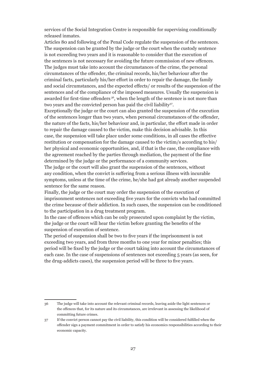services of the Social Integration Centre is responsible for supervising conditionally released inmates.

Articles 80 and following of the Penal Code regulate the suspension of the sentences. The suspension can be granted by the judge or the court when the custody sentence is not exceeding two years and it is reasonable to consider that the execution of the sentences is not necessary for avoiding the future commission of new offences. The judges must take into account the circumstances of the crime, the personal circumstances of the offender, the criminal records, his/her behaviour after the criminal facts, particularly his/her effort in order to repair the damage, the family and social circumstances, and the expected effects/ or results of the suspension of the sentences and of the compliance of the imposed measures. Usually the suspension is awarded for first-time offenders 36, when the length of the sentence is not more than two years and the convicted person has paid the civil liability<sup>37</sup>.

Exceptionally the judge or the court can also granted the suspension of the execution of the sentences longer than two years, when personal circumstances of the offender, the nature of the facts, his/her behaviour and, in particular, the effort made in order to repair the damage caused to the victim, make this decision advisable. In this case, the suspension will take place under some conditions, in all cases the effective restitution or compensation for the damage caused to the victim/s according to his/ her physical and economic opportunities, and, if that is the case, the compliance with the agreement reached by the parties through mediation, the payment of the fine determined by the judge or the performance of a community services.

The judge or the court will also grant the suspension of the sentences, without any condition, when the convict is suffering from a serious illness with incurable symptoms, unless at the time of the crime, he/she had got already another suspended sentence for the same reason.

Finally, the judge or the court may order the suspension of the execution of imprisonment sentences not exceeding five years for the convicts who had committed the crime because of their addiction. In such cases, the suspension can be conditioned to the participation in a drug treatment program.

In the case of offences which can be only prosecuted upon complaint by the victim, the judge or the court will hear the victim before granting the benefits of the suspension of execution of sentence.

The period of suspension shall be two to five years if the imprisonment is not exceeding two years, and from three months to one year for minor penalties; this period will be fixed by the judge or the court taking into account the circumstances of each case. In the case of suspensions of sentences not exceeding 5 years (as seen, for the drug-addicts cases), the suspension period will be three to five years.

<sup>36</sup> The judge will take into account the relevant criminal records, leaving aside the light sentences or the offences that, for its nature and its circumstances, are irrelevant in assessing the likelihood of committing future crimes.

<sup>37</sup> If the convict person cannot pay the civil liability, this condition will be considered fulfilled when the offender sign a payment commitment in order to satisfy his economics responsibilities according to their economic capacity.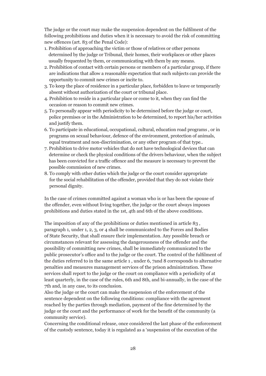The judge or the court may make the suspension dependent on the fulfilment of the following prohibitions and duties when it is necessary to avoid the risk of committing new offences (art. 83 of the Penal Code):

- 1. Prohibition of approaching the victim or those of relatives or other persons determined by the judge or Tribunal, their homes, their workplaces or other places usually frequented by them, or communicating with them by any means.
- 2. Prohibition of contact with certain persons or members of a particular group, if there are indications that allow a reasonable expectation that such subjects can provide the opportunity to commit new crimes or incite to.
- 3. To keep the place of residence in a particular place, forbidden to leave or temporarily absent without authorization of the court or tribunal place.
- 4. Prohibition to reside in a particular place or come to it, when they can find the occasion or reason to commit new crimes.
- 5. To personally appear with periodicity to be determined before the judge or court, police premises or in the Administration to be determined, to report his/her activities and justify them.
- 6. To participate in educational, occupational, cultural, education road programs , or in programs on sexual behaviour, defence of the environment, protection of animals, equal treatment and non-discrimination, or any other program of that type..
- 7. Prohibition to drive motor vehicles that do not have technological devices that can determine or check the physical conditions of the drivers behaviour, when the subject has been convicted for a traffic offence and the measure is necessary to prevent the possible commission of new crimes.
- 8. To comply with other duties which the judge or the court consider appropriate for the social rehabilitation of the offender, provided that they do not violate their personal dignity.

In the case of crimes committed against a woman who is or has been the spouse of the offender, even without living together, the judge or the court always imposes prohibitions and duties stated in the 1st, 4th and 6th of the above conditions.

The imposition of any of the prohibitions or duties mentioned in article 83 , paragraph 1, under 1, 2, 3, or 4 shall be communicated to the Forces and Bodies of State Security, that shall ensure their implementation. Any possible breach or circumstances relevant for assessing the dangerousness of the offender and the possibility of committing new crimes, shall be immediately communicated to the public prosecutor's office and to the judge or the court. The control of the fulfilment of the duties referred to in the same article 1 , under 6, 7and 8 corresponds to alternative penalties and measures management services of the prison administration. These services shall report to the judge or the court on compliance with a periodicity of at least quarterly, in the case of the rules, 6th and 8th, and bi-annually, in the case of the 7th and, in any case, to its conclusion.

Also the judge or the court can make the suspension of the enforcement of the sentence dependent on the following conditions: compliance with the agreement reached by the parties through mediation, payment of the fine determined by the judge or the court and the performance of work for the benefit of the community (a community service).

Concerning the conditional release, once considered the last phase of the enforcement of the custody sentence, today it is regulated as a 'suspension of the execution of the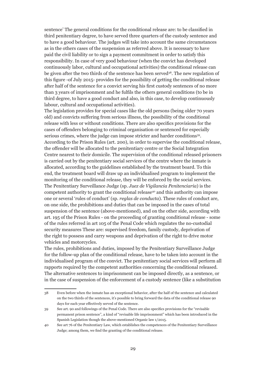sentence' The general conditions for the conditional release are: to be classified in third penitentiary degree, to have served three quarters of the custody sentence and to have a good behaviour. The judges will take into account the same circumstances as in the others cases of the suspension as referred above. It is necessary to have paid the civil liability or to sign a payment commitment in order to satisfy this responsibility. In case of very good behaviour (when the convict has developed continuously labor, cultural and occupational activities) the conditional release can be given after the two thirds of the sentence has been served<sup>38</sup>. The new regulation of this figure -of July 2015- provides for the possibility of getting the conditional release after half of the sentence for a convict serving his first custody sentences of no more than 3 years of imprisonment and he fulfils the others general conditions (to be in third degree, to have a good conduct and also, in this case, to develop continuously labour, cultural and occupational activities).

The legislation provides for special cases like the old persons (being older 70 years old) and convicts suffering from serious illness, the possibility of the conditional release with less or without conditions. There are also specifics provisions for the cases of offenders belonging to criminal organisation or sentenced for especially serious crimes, where the judge can impose stricter and harder conditions<sup>39</sup>. According to the Prison Rules (art. 200), in order to supervise the conditional release, the offender will be allocated to the penitentiary centre or the Social Integration Centre nearest to their domicile. The supervision of the conditional released prisoners is carried out by the penitentiary social services of the centre where the inmate is allocated, according to the guidelines established by the treatment board. To this end, the treatment board will draw up an individualised program to implement the monitoring of the conditional release, they will be enforced by the social services. The Penitentiary Surveillance Judge (sp. *Juez de Vigilancia Penitenciaria*) is the competent authority to grant the conditional release<sup>40</sup> and this authority can impose one or several 'rules of conduct' (sp. *reglas de conducta*). These rules of conduct are, on one side, the prohibitions and duties that can be imposed in the cases of total suspension of the sentence (above-mentioned), and on the other side, according with art. 195 of the Prison Rules - on the proceeding of granting conditional release - some of the rules referred in art 105 of the Penal Code which regulates the no-custodial security measures These are: supervised freedom, family custody, deprivation of the right to possess and carry weapons and deprivation of the right to drive motor vehicles and motorcycles.

The rules, prohibitions and duties, imposed by the Penitentiary Surveillance Judge for the follow-up plan of the conditional release, have to be taken into account in the individualised program of the convict. The penitentiary social services will perform all rapports required by the competent authorities concerning the conditional released. The alternative sentences to imprisonment can be imposed directly, as a sentence, or in the case of suspension of the enforcement of a custody sentence (like a substitution

<sup>38</sup> Even before when the inmate has an exceptional behavior, after the half of the sentence and calculated on the two thirds of the sentences, it's possible to bring forward the data of the conditional release 90 days for each year effectively served of the sentence.

<sup>39</sup> See art. 90 and followings of the Penal Code. There are also specifics provisions for the "revisable permanent prison sentence", a kind of "revisable life imprisonment" which has been introduced in the Spanish Legislation though the above-mentioned Organic law 1/2015.

<sup>40</sup> See art 76 of the Penitentiary Law, which establishes the competences of the Penitentiary Surveillance Judge; among them, we find the granting of the conditional release.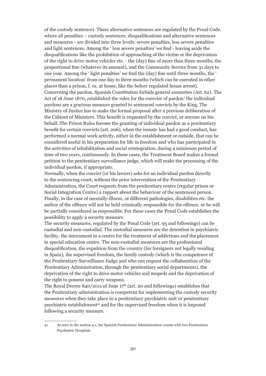of the custody sentence). These alternative sentences are regulated by the Penal Code, where all penalties – custody sentences, disqualifications and alternative sentences and measures - are divided into three levels: severe penalties, less severe penalties and light sentences. Among the ' less severe penalties' we find - leaving aside the disqualifications like the prohibition of approaching of the victim or the deprivation of the right to drive motor vehicles etc. - the (day) fine of more than three months, the proportional fine (whatever its amount), and the Community Service from 31 days to one year. Among the ' light penalties' we find the (day) fine until three months, the ' permanent location' from one day to three months (which can be executed in other places than a prison, f. ex. at home, like the before regulated house arrest). Concerning the pardon, Spanish Constitution forbids general amnesties (Art. 62). The Act of 18 June 1870, established the rules for the exercise of pardon: the individual pardons are a gracious measure granted to sentenced convicts by the King. The Ministry of Justice has to make the formal proposal after a previous deliberation of the Cabinet of Ministers. This benefit is requested by the convict, or anyone on his behalf. The Prison Rules foresee the granting of individual pardon as a penitentiary benefit for certain convicts (art. 206), when the inmate has had a good conduct, has performed a normal work activity, either in the establishment or outside, that can be considered useful in his preparation for life in freedom and who has participated in the activities of rehabilitation and social reintegration, during a minimum period of time of two years, continuously. In these cases, the Treatment Board makes a formal petition to the penitentiary surveillance judge, which will make the processing of the individual pardon, if appropriate.

Normally, when the convict (or his lawyer) asks for an individual pardon directly to the sentencing court, without the prior intervention of the Penitentiary Administration, the Court requests from the penitentiary centre (regular prison or Social Integration Centre) a rapport about the behaviour of the sentenced person. Finally, in the case of mentally-illness, or different pathologies, disabilities etc. the author of the offence will not be held criminally responsible for the offence, or he will be partially considered as responsible. For these cases the Penal Code establishes the possibility to apply a security measure.

The security measures, regulated by the Penal Code (art. 95 and followings) can be custodial and non-custodial. The custodial measures are the detention in psychiatric facility, the internment in a centre for the treatment of addictions and the placement in special education centre. The non-custodial measures are the professional disqualification, the expulsion from the country (for foreigners not legally residing in Spain), the supervised freedom, the family custody (which is the competence of the Penitentiary Surveillance Judge and who can request the collaboration of the Penitentiary Administration, through the penitentiary social departments), the deprivation of the right to drive motor vehicles and mopeds and the deprivation of the right to possess and carry weapons.

The Royal Decree 840/2011 of June  $17<sup>th</sup>$  (art. 20 and followings) establishes that the Penitentiary administration is competent for implementing the custody security measures when they take place in a penitentiary psychiatric unit or penitentiary psychiatric establishment<sup>41</sup> and for the supervised freedom when it is imposed following a security measure.

<sup>41</sup> As seen in the section 4.1, the Spanish Penitentiary Administration counts with two Penitentiary Psychiatric Hospitals.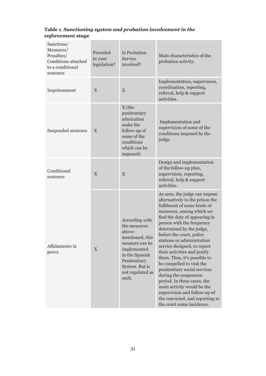## **Table 1***. Sanctioning system and probation involvement in the enforcement stage*

| Sanctions/<br>Measures/<br>Penalties/<br><b>Conditions attached</b><br>to a conditional<br>sentence | Provided<br>in your<br>legislation? | Is Probation<br>Service<br>involved?                                                                                                                                          | Main characteristics of the<br>probation activity.                                                                                                                                                                                                                                                                                                                                                                                                                                                                                                                                                                                |
|-----------------------------------------------------------------------------------------------------|-------------------------------------|-------------------------------------------------------------------------------------------------------------------------------------------------------------------------------|-----------------------------------------------------------------------------------------------------------------------------------------------------------------------------------------------------------------------------------------------------------------------------------------------------------------------------------------------------------------------------------------------------------------------------------------------------------------------------------------------------------------------------------------------------------------------------------------------------------------------------------|
| Imprisonment                                                                                        | X                                   | X                                                                                                                                                                             | Implementation, supervision,<br>coordination, reporting,<br>referral, help & support<br>activities.                                                                                                                                                                                                                                                                                                                                                                                                                                                                                                                               |
| Suspended sentence                                                                                  | X                                   | X (the<br>penitentiary<br>admiration<br>make the<br>follow-up of<br>some of the<br>conditions<br>which can be<br>imposed)                                                     | Implementation and<br>supervision of some of the<br>conditions imposed by the<br>judge.                                                                                                                                                                                                                                                                                                                                                                                                                                                                                                                                           |
| Conditional<br>sentence                                                                             | $\mathbf{X}$                        | X                                                                                                                                                                             | Design and implementation<br>of the follow-up plan,<br>supervision, reporting,<br>referral, help & support<br>activities.                                                                                                                                                                                                                                                                                                                                                                                                                                                                                                         |
| Affidamento in<br>prova                                                                             | $\mathbf X$                         | According with<br>the measures<br>above-<br>mentioned, this<br>measure can be<br>implemented<br>in the Spanish<br>Penitentiary<br>System. But is<br>not regulated as<br>such. | As seen, the judge can impose<br>alternatively to the prison the<br>fulfilment of some kinds of<br>measures, among which we<br>find the duty of appearing in<br>person with the frequency<br>determined by the judge,<br>before the court, police<br>stations or administration<br>service designed, to report<br>their activities and justify<br>them. Thus, it's possible to<br>be compelled to visit the<br>penitentiary social services<br>during the suspension<br>period. In these cases, the<br>main activity would be the<br>supervision and follow-up of<br>the convicted, and reporting to<br>the court some incidence. |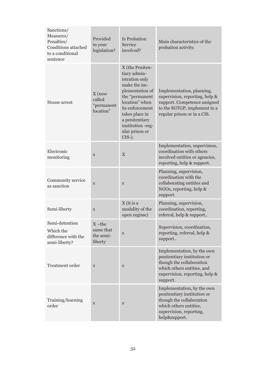| Sanctions/<br>Measures/<br>Penalties/<br>Conditions attached<br>to a conditional<br>sentence | Provided<br>in your<br>legislation?           | Is Probation<br>Service<br>involved?                                                                                                                                                                                             | Main characteristics of the<br>probation activity.                                                                                                                |
|----------------------------------------------------------------------------------------------|-----------------------------------------------|----------------------------------------------------------------------------------------------------------------------------------------------------------------------------------------------------------------------------------|-------------------------------------------------------------------------------------------------------------------------------------------------------------------|
| House arrest                                                                                 | $X$ (now<br>called<br>"permanent<br>location" | X (the Peniten-<br>tiary admin-<br>istration only<br>make the im-<br>plementation of<br>the "permanent<br>location" when<br>its enforcement<br>takes place in<br>a penitentiary<br>institution -reg-<br>ular prison or<br>CIS-). | Implementation, planning,<br>supervision, reporting, help &<br>support. Competence assigned<br>to the SGTGP, implement in a<br>regular prison or in a CIS.        |
| Electronic<br>monitoring                                                                     | $\mathbf X$                                   | $\overline{X}$                                                                                                                                                                                                                   | Implementation, supervision,<br>coordination with others<br>involved entities or agencies,<br>reporting, help & support.                                          |
| Community service<br>as sanction                                                             | $\mathbf X$                                   | X                                                                                                                                                                                                                                | Planning, supervision,<br>coordination with the<br>collaborating entities and<br>NGOs, reporting, help &<br>support.                                              |
| Semi-liberty                                                                                 | $\mathbf X$                                   | X (it is a<br>modality of the<br>open regime)                                                                                                                                                                                    | Planning, supervision,<br>coordination, reporting,<br>referral, help & support                                                                                    |
| Semi-detention<br>Which the<br>difference with the<br>semi-liberty?                          | $X$ -the<br>same that<br>the semi-<br>liberty | $\mathbf X$                                                                                                                                                                                                                      | Supervision, coordination,<br>reporting, referral, help &<br>support                                                                                              |
| Treatment order                                                                              | $\mathbf X$                                   | $\mathbf X$                                                                                                                                                                                                                      | Implementation, by the own<br>penitentiary institution or<br>though the collaboration<br>which others entities, and<br>supervision, reporting, help &<br>support. |
| Training/learning<br>order                                                                   | X                                             | X                                                                                                                                                                                                                                | Implementation, by the own<br>penitentiary institution or<br>though the collaboration<br>which others entities,<br>supervision, reporting,<br>help&support.       |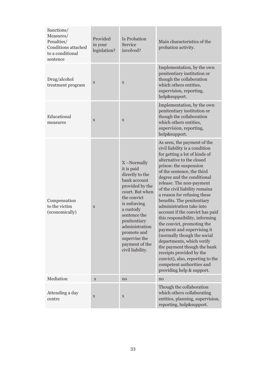| Sanctions/<br>Measures/<br>Penalties/<br><b>Conditions attached</b><br>to a conditional<br>sentence | Provided<br>in your<br>legislation? | Is Probation<br>Service<br>involved?                                                                                                                                                                                                                                  | Main characteristics of the<br>probation activity.                                                                                                                                                                                                                                                                                                                                                                                                                                                                                                                                                                                                                                                                             |
|-----------------------------------------------------------------------------------------------------|-------------------------------------|-----------------------------------------------------------------------------------------------------------------------------------------------------------------------------------------------------------------------------------------------------------------------|--------------------------------------------------------------------------------------------------------------------------------------------------------------------------------------------------------------------------------------------------------------------------------------------------------------------------------------------------------------------------------------------------------------------------------------------------------------------------------------------------------------------------------------------------------------------------------------------------------------------------------------------------------------------------------------------------------------------------------|
| Drug/alcohol<br>treatment program                                                                   | X                                   | X                                                                                                                                                                                                                                                                     | Implementation, by the own<br>penitentiary institution or<br>though the collaboration<br>which others entities,<br>supervision, reporting,<br>help&support.                                                                                                                                                                                                                                                                                                                                                                                                                                                                                                                                                                    |
| Educational<br>measures                                                                             | X                                   | X                                                                                                                                                                                                                                                                     | Implementation, by the own<br>penitentiary institution or<br>though the collaboration<br>which others entities,<br>supervision, reporting,<br>help&support.                                                                                                                                                                                                                                                                                                                                                                                                                                                                                                                                                                    |
| Compensation<br>to the victim<br>(economically)                                                     | $\mathbf X$                         | X-Normally<br>it is paid<br>directly to the<br>bank account<br>provided by the<br>court. But when<br>the convict<br>is enforcing<br>a custody<br>sentence the<br>penitentiary<br>administration<br>promote and<br>supervise the<br>payment of the<br>civil liability. | As seen, the payment of the<br>civil liability is a condition<br>for getting a lot of kinds of<br>alternative to the closed<br>prison: the suspension<br>of the sentence, the third<br>degree and the conditional<br>release. The non-payment<br>of the civil liability remains<br>a reason for refusing these<br>benefits. The penitentiary<br>administration take into<br>account if the convict has paid<br>this responsibility, informing<br>the convict, promoting the<br>payment and supervising it<br>(normally though the social<br>departments, which verify<br>the payment though the bank<br>receipts provided by the<br>convict), also, reporting to the<br>competent authorities and<br>providing help & support. |
| Mediation                                                                                           | $\mathbf X$                         | no                                                                                                                                                                                                                                                                    | no                                                                                                                                                                                                                                                                                                                                                                                                                                                                                                                                                                                                                                                                                                                             |
| Attending a day<br>centre                                                                           | $\mathbf X$                         | $\mathbf X$                                                                                                                                                                                                                                                           | Though the collaboration<br>which others collaborating<br>entities, planning, supervision,<br>reporting, help&support.                                                                                                                                                                                                                                                                                                                                                                                                                                                                                                                                                                                                         |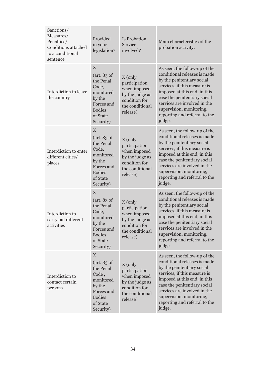| Sanctions/<br>Measures/<br>Penalties/<br><b>Conditions attached</b><br>to a conditional<br>sentence | Provided<br>in your<br>legislation?                                                                                             | Is Probation<br>Service<br>involved?                                                                        | Main characteristics of the<br>probation activity.                                                                                                                                                                                                                                                 |
|-----------------------------------------------------------------------------------------------------|---------------------------------------------------------------------------------------------------------------------------------|-------------------------------------------------------------------------------------------------------------|----------------------------------------------------------------------------------------------------------------------------------------------------------------------------------------------------------------------------------------------------------------------------------------------------|
| Interdiction to leave<br>the country                                                                | X<br>(art. 83 of<br>the Penal<br>Code,<br>monitored<br>by the<br>Forces and<br><b>Bodies</b><br>of State<br>Security)           | X (only<br>participation<br>when imposed<br>by the judge as<br>condition for<br>the conditional<br>release) | As seen, the follow-up of the<br>conditional releases is made<br>by the penitentiary social<br>services, if this measure is<br>imposed at this end, in this<br>case the penitentiary social<br>services are involved in the<br>supervision, monitoring,<br>reporting and referral to the<br>judge. |
| Interdiction to enter<br>different cities/<br>places                                                | X<br>(art. 83 of<br>the Penal<br>Code,<br>monitored<br>by the<br>Forces and<br><b>Bodies</b><br>of State<br>Security)           | X (only<br>participation<br>when imposed<br>by the judge as<br>condition for<br>the conditional<br>release) | As seen, the follow-up of the<br>conditional releases is made<br>by the penitentiary social<br>services, if this measure is<br>imposed at this end, in this<br>case the penitentiary social<br>services are involved in the<br>supervision, monitoring,<br>reporting and referral to the<br>judge. |
| Interdiction to<br>carry out different<br>activities                                                | $\mathbf X$<br>(art. 83 of<br>the Penal<br>Code,<br>monitored<br>by the<br>Forces and<br><b>Bodies</b><br>of State<br>Security) | X (only<br>participation<br>when imposed<br>by the judge as<br>condition for<br>the conditional<br>release) | As seen, the follow-up of the<br>conditional releases is made<br>by the penitentiary social<br>services, if this measure is<br>imposed at this end, in this<br>case the penitentiary social<br>services are involved in the<br>supervision, monitoring,<br>reporting and referral to the<br>judge. |
| Interdiction to<br>contact certain<br>persons                                                       | $\mathbf X$<br>(art. 83 of<br>the Penal<br>Code,<br>monitored<br>by the<br>Forces and<br><b>Bodies</b><br>of State<br>Security) | X (only<br>participation<br>when imposed<br>by the judge as<br>condition for<br>the conditional<br>release) | As seen, the follow-up of the<br>conditional releases is made<br>by the penitentiary social<br>services, if this measure is<br>imposed at this end, in this<br>case the penitentiary social<br>services are involved in the<br>supervision, monitoring,<br>reporting and referral to the<br>judge. |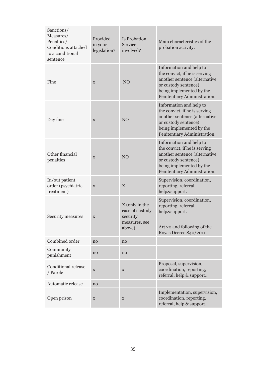| Sanctions/<br>Measures/<br>Penalties/<br>Conditions attached<br>to a conditional<br>sentence | Provided<br>in your<br>legislation? | Is Probation<br>Service<br>involved?                                     | Main characteristics of the<br>probation activity.                                                                                                                            |
|----------------------------------------------------------------------------------------------|-------------------------------------|--------------------------------------------------------------------------|-------------------------------------------------------------------------------------------------------------------------------------------------------------------------------|
| Fine                                                                                         | $\mathbf X$                         | NO                                                                       | Information and help to<br>the convict, if he is serving<br>another sentence (alternative<br>or custody sentence)<br>being implemented by the<br>Penitentiary Administration. |
| Day fine                                                                                     | $\mathbf X$                         | NO                                                                       | Information and help to<br>the convict, if he is serving<br>another sentence (alternative<br>or custody sentence)<br>being implemented by the<br>Penitentiary Administration. |
| Other financial<br>penalties                                                                 | X                                   | NO                                                                       | Information and help to<br>the convict, if he is serving<br>another sentence (alternative<br>or custody sentence)<br>being implemented by the<br>Penitentiary Administration. |
| In/out patient<br>order (psychiatric<br>treatment)                                           | X                                   | X                                                                        | Supervision, coordination,<br>reporting, referral,<br>help&support.                                                                                                           |
| Security measures                                                                            | $\mathbf X$                         | X (only in the<br>case of custody<br>security<br>measures, see<br>above) | Supervision, coordination,<br>reporting, referral,<br>help&support.<br>Art 20 and following of the<br>Royas Decree 840/2011.                                                  |
| Combined order                                                                               | no                                  | no                                                                       |                                                                                                                                                                               |
| Community<br>punishment                                                                      | no                                  | no                                                                       |                                                                                                                                                                               |
| <b>Conditional release</b><br>/ Parole                                                       | $\mathbf X$                         | $\mathbf X$                                                              | Proposal, supervision,<br>coordination, reporting,<br>referral, help & support                                                                                                |
| Automatic release                                                                            | no                                  |                                                                          |                                                                                                                                                                               |
| Open prison                                                                                  | $\mathbf X$                         | X                                                                        | Implementation, supervision,<br>coordination, reporting,<br>referral, help & support.                                                                                         |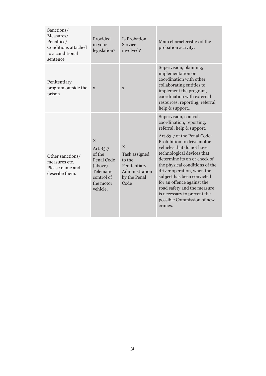| Sanctions/<br>Measures/<br>Penalties/<br>Conditions attached<br>to a conditional<br>sentence | Provided<br>in your<br>legislation?                                                                   | Is Probation<br>Service<br>involved?                                                   | Main characteristics of the<br>probation activity.                                                                                                                                                                                                                                                                                                                                                                                                                        |
|----------------------------------------------------------------------------------------------|-------------------------------------------------------------------------------------------------------|----------------------------------------------------------------------------------------|---------------------------------------------------------------------------------------------------------------------------------------------------------------------------------------------------------------------------------------------------------------------------------------------------------------------------------------------------------------------------------------------------------------------------------------------------------------------------|
| Penitentiary<br>program outside the<br>prison                                                | $\mathbf X$                                                                                           | X                                                                                      | Supervision, planning,<br>implementation or<br>coordination with other<br>collaborating entities to<br>implement the program,<br>coordination with external<br>resources, reporting, referral,<br>help & support                                                                                                                                                                                                                                                          |
| Other sanctions/<br>measures etc.<br>Please name and<br>describe them.                       | X<br>Art.83.7<br>of the<br>Penal Code<br>(above).<br>Telematic<br>control of<br>the motor<br>vehicle. | X<br>Task assigned<br>to the<br>Penitentiary<br>Administration<br>by the Penal<br>Code | Supervision, control,<br>coordination, reporting,<br>referral, help & support.<br>Art.83.7 of the Penal Code:<br>Prohibition to drive motor<br>vehicles that do not have<br>technological devices that<br>determine its on or check of<br>the physical conditions of the<br>driver operation, when the<br>subject has been convicted<br>for an offence against the<br>road safety and the measure<br>is necessary to prevent the<br>possible Commission of new<br>crimes. |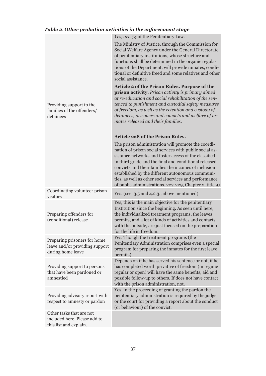## *Table 2. Other probation activities in the enforcement stage*

|                                                                                     | <i>Yes, art. 74 of the Penitentiary Law.</i>                                                                                                                                                                                                                                                                                                                                                                                                                     |
|-------------------------------------------------------------------------------------|------------------------------------------------------------------------------------------------------------------------------------------------------------------------------------------------------------------------------------------------------------------------------------------------------------------------------------------------------------------------------------------------------------------------------------------------------------------|
|                                                                                     | The Ministry of Justice, through the Commission for<br>Social Welfare Agency under the General Directorate<br>of penitentiary institutions, whose structure and<br>functions shall be determined in the organic regula-<br>tions of the Department, will provide inmates, condi-<br>tional or definitive freed and some relatives and other<br>social assistance.                                                                                                |
| Providing support to the<br>families of the offenders/<br>detainees                 | Article 2 of the Prison Rules. Purpose of the<br>prison activity. Prison activity is primary aimed<br>at re-education and social rehabilitation of the sen-<br>tenced to punishment and custodial safety measures<br>of freedom, as well as the retention and custody of<br>detainees, prisoners and convicts and welfare of in-<br>mates released and their families.                                                                                           |
|                                                                                     | <b>Article 228 of the Prison Rules.</b>                                                                                                                                                                                                                                                                                                                                                                                                                          |
|                                                                                     | The prison administration will promote the coordi-<br>nation of prison social services with public social as-<br>sistance networks and foster access of the classified<br>in third grade and the final and conditional released<br>convicts and their families the incomes of inclusion<br>established by the different autonomous communi-<br>ties, as well as other social services and performance<br>of public administrations. 227-229, Chapter 2, title 9) |
| Coordinating volunteer prison<br>visitors                                           | Yes. (see. 3.5 and 4.2.3., above mentioned)                                                                                                                                                                                                                                                                                                                                                                                                                      |
| Preparing offenders for<br>(conditional) release                                    | Yes, this is the main objective for the penitentiary<br>Institution since the beginning. As seen until here,<br>the individualized treatment programs, the leaves<br>permits, and a lot of kinds of activities and contacts<br>with the outside, are just focused on the preparation<br>for the life in freedom.                                                                                                                                                 |
| Preparing prisoners for home<br>leave and/or providing support<br>during home leave | Yes. Though the treatment programs (the<br>Penitentiary Administration comprises even a special<br>program for preparing the inmates for the first leave<br>permits).                                                                                                                                                                                                                                                                                            |
| Providing support to persons<br>that have been pardoned or<br>amnestied             | Depends on if he has served his sentence or not, if he<br>has completed worth privative of freedom (in regime<br>regular or open) will have the same benefits, aid and<br>possible follow-up to others. If does not have contact<br>with the prison administration, not.                                                                                                                                                                                         |
| Providing advisory report with<br>respect to amnesty or pardon                      | Yes, in the proceeding of granting the pardon the<br>penitentiary administration is required by the judge<br>or the court for providing a report about the conduct<br>(or behaviour) of the convict.                                                                                                                                                                                                                                                             |
| Other tasks that are not<br>included here. Please add to<br>this list and explain.  |                                                                                                                                                                                                                                                                                                                                                                                                                                                                  |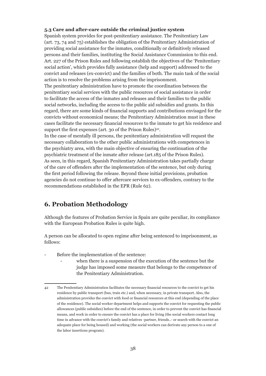#### **5.3 Care and after-care outside the criminal justice system**

Spanish system provides for post-penitentiary assistance. The Penitentiary Law (art. 73, 74 and 75) establishes the obligation of the Penitentiary Administration of providing social assistance for the inmates, conditionally or definitively released persons and their families, instituting the Social Assistance Commission to this end. Art. 227 of the Prison Rules and following establish the objectives of the 'Penitentiary social action', which provides fully assistance (help and support) addressed to the convict and releases (ex-convict) and the families of both. The main task of the social action is to resolve the problems arising from the imprisonment.

The penitentiary administration have to promote the coordination between the penitentiary social services with the public resources of social assistance in order to facilitate the access of the inmates and releases and their families to the public social networks, including the access to the public aid subsidies and grants. In this regard, there are some kinds of financial supports and contributions envisaged for the convicts without economical means; the Penitentiary Administration must in these cases facilitate the necessary financial resources to the inmate to get his residence and support the first expenses (art. 30 of the Prison Rules)<sup>42</sup>.

In the case of mentally ill persons, the penitentiary administration will request the necessary collaboration to the other public administrations with competences in the psychiatry area, with the main objective of ensuring the continuation of the psychiatric treatment of the inmate after release (art.185 of the Prison Rules). As seen, in this regard, Spanish Penitentiary Administration takes partially charge of the care of offenders after the implementation of the sentence, but only during the first period following the release. Beyond these initial provisions, probation agencies do not continue to offer aftercare services to ex-offenders, contrary to the recommendations established in the EPR (Rule 62).

## **6. Probation Methodology**

Although the features of Probation Service in Spain are quite peculiar, its compliance with the European Probation Rules is quite high.

A person can be allocated to open regime after being sentenced to imprisonment, as follows:

- Before the implementation of the sentence:
	- when there is a suspension of the execution of the sentence but the judge has imposed some measure that belongs to the competence of the Penitentiary Administration.

<sup>42</sup> The Penitentiary Administration facilitates the necessary financial resources to the convict to get his residence by public transport (bus, train etc.) and, when necessary, in private transport. Also, the administration provides the convict with food or financial resources at this end (depending of the place of the residence). The social worker department helps and supports the convict for requesting the public allowances (public subsidies) before the end of the sentence, in order to prevent the convict has financial means, and work in order to ensure the convict has a place for living (the social workers contact long time in advance with the convict's family and relatives -partner, friends..- or search with the convict an adequate place for being housed) and working (the social workers can derivate any person to a one of the labor insertions program).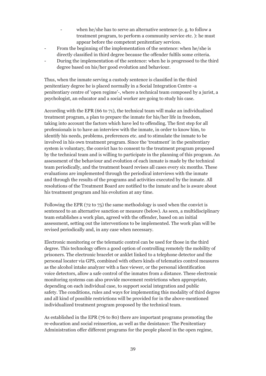- when he/she has to serve an alternative sentence (e.g. to follow a treatment program, to perform a community service etc. ): he must appear before the competent penitentiary services.
- From the beginning of the implementation of the sentence: when he/she is directly classified in third degree because the offender fulfils some criteria.
- During the implementation of the sentence: when he is progressed to the third degree based on his/her good evolution and behaviour.

Thus, when the inmate serving a custody sentence is classified in the third penitentiary degree he is placed normally in a Social Integration Centre -a penitentiary centre of 'open regime'-, where a technical team composed by a jurist, a psychologist, an educator and a social worker are going to study his case.

According with the EPR (66 to 71), the technical team will make an individualised treatment program, a plan to prepare the inmate for his/her life in freedom, taking into account the factors which have led to offending. The first step for all professionals is to have an interview with the inmate, in order to know him, to identify his needs, problems, preferences etc. and to stimulate the inmate to be involved in his own treatment program. Since the 'treatment' in the penitentiary system is voluntary, the convict has to consent to the treatment program proposed by the technical team and is willing to participate in the planning of this program. An assessment of the behaviour and evolution of each inmate is made by the technical team periodically, and the treatment board revises all cases every six months. These evaluations are implemented through the periodical interviews with the inmate and through the results of the programs and activities executed by the inmate. All resolutions of the Treatment Board are notified to the inmate and he is aware about his treatment program and his evolution at any time.

Following the EPR (72 to 75) the same methodology is used when the convict is sentenced to an alternative sanction or measure (below). As seen, a multidisciplinary team establishes a work plan, agreed with the offender, based on an initial assessment, setting out the interventions to be implemented. The work plan will be revised periodically and, in any case when necessary.

Electronic monitoring or the telematic control can be used for those in the third degree. This technology offers a good option of controlling remotely the mobility of prisoners. The electronic bracelet or anklet linked to a telephone detector and the personal locater via GPS, combined with others kinds of telematics control measures as the alcohol intake analyzer with a face viewer, or the personal identification voice detectors, allow a safe control of the inmates from a distance. These electronic monitoring systems can also provide movement restrictions when appropriate, depending on each individual case, to support social integration and public safety. The conditions, rules and ways for implementing this modality of third degree and all kind of possible restrictions will be provided for in the above-mentioned individualized treatment program proposed by the technical team.

As established in the EPR (76 to 80) there are important programs promoting the re-education and social reinsertion, as well as the desistance: The Penitentiary Administration offer different programs for the people placed in the open regime,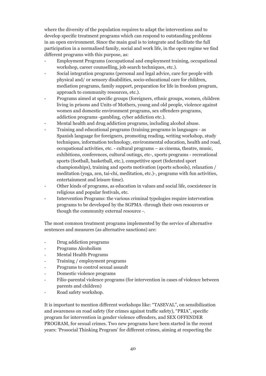where the diversity of the population requires to adapt the interventions and to develop specific treatment programs which can respond to outstanding problems in an open environment. Since the main goal is to integrate and facilitate the full participation in a normalised family, social and work life, in the open regime we find different programs with this purpose, as:

- Employment Programs (occupational and employment training, occupational workshop, career counselling, job search techniques, etc.).
- Social integration programs (personal and legal advice, care for people with physical and/ or sensory disabilities, socio-educational care for children, mediation programs, family support, preparation for life in freedom program, approach to community resources, etc.).
- Programs aimed at specific groups (foreigners, ethnic groups, women, children living in prisons and Units of Mothers, young and old people, violence against women and domestic environment programs, sex offenders programs, addiction programs -gambling, cyber addiction etc.).
- Mental health and drug addiction programs, including alcohol abuse.
- Training and educational programs (training programs in languages as Spanish language for foreigners, promoting reading, writing workshop, study techniques, information technology, environmental education, health and road, occupational activities, etc. - cultural programs – as cinema, theatre, music, exhibitions, conferences, cultural outings, etc-, sports programs - recreational sports (football, basketball, etc.), competitive sport (federated sport championships), training and sports motivation (sports schools), relaxation / meditation (yoga, zen, tai-chi, meditation, etc.)-, programs with fun activities, entertainment and leisure time).
- Other kinds of programs, as education in values and social life, coexistence in religious and popular festivals, etc.
- Intervention Programs: the various criminal typologies require intervention programs to be developed by the SGPMA -through their own resources or though the community external resource -.

The most common treatment programs implemented by the service of alternative sentences and measures (as alternative sanctions) are:

- Drug addiction programs
- Programs Alcoholism
- Mental Health Programs
- Training / employment programs
- Programs to control sexual assault
- Domestic violence programs
- Filio-parental violence programs (for intervention in cases of violence between parents and children)
- Road safety workshop.

It is important to mention different workshops like: "TASEVAL", on sensibilization and awareness on road safety (for crimes against traffic safety), "PRIA", specific program for intervention in gender violence offenders, and SEX OFFENDER PROGRAM, for sexual crimes. Two new programs have been started in the recent years: 'Prosocial Thinking Program' for different crimes, aiming at respecting the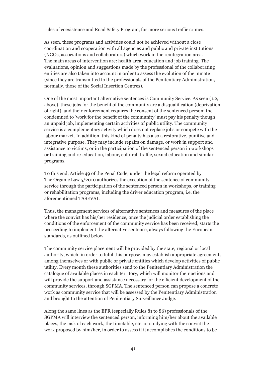rules of coexistence and Road Safety Program, for more serious traffic crimes.

As seen, these programs and activities could not be achieved without a close coordination and cooperation with all agencies and public and private institutions (NGOs, associations and collaborators) which work in the reintegration area. The main areas of intervention are: health area, education and job training. The evaluations, opinion and suggestions made by the professional of the collaborating entities are also taken into account in order to assess the evolution of the inmate (since they are transmitted to the professionals of the Penitentiary Administration, normally, those of the Social Insertion Centres).

One of the most important alternative sentences is Community Service. As seen (1.2, above), these jobs for the benefit of the community are a disqualification (deprivation of right), and their enforcement requires the consent of the sentenced person; the condemned to 'work for the benefit of the community' must pay his penalty though an unpaid job, implementing certain activities of public utility. The community service is a complementary activity which does not replace jobs or compete with the labour market. In addition, this kind of penalty has also a restorative, punitive and integrative purpose. They may include repairs on damage, or work in support and assistance to victims; or in the participation of the sentenced person in workshops or training and re-education, labour, cultural, traffic, sexual education and similar programs.

To this end, Article 49 of the Penal Code, under the legal reform operated by The Organic Law 5/2010 authorizes the execution of the sentence of community service through the participation of the sentenced person in workshops, or training or rehabilitation programs, including the driver education program, i.e. the aforementioned TASEVAL.

Thus, the management services of alternative sentences and measures of the place where the convict has his/her residence, once the judicial order establishing the conditions of the enforcement of the community service has been received, starts the proceeding to implement the alternative sentence, always following the European standards, as outlined below.

The community service placement will be provided by the state, regional or local authority, which, in order to fulfil this purpose, may establish appropriate agreements among themselves or with public or private entities which develop activities of public utility. Every month these authorities send to the Penitentiary Administration the catalogue of available places in each territory, which will monitor their actions and will provide the support and assistance necessary for the efficient development of the community services, through SGPMA. The sentenced person can propose a concrete work as community service that will be assessed by the Penitentiary Administration and brought to the attention of Penitentiary Surveillance Judge.

Along the same lines as the EPR (especially Rules 81 to 86) professionals of the SGPMA will interview the sentenced person, informing him/her about the available places, the task of each work, the timetable, etc. or studying with the convict the work proposed by him/her, in order to assess if it accomplishes the conditions to be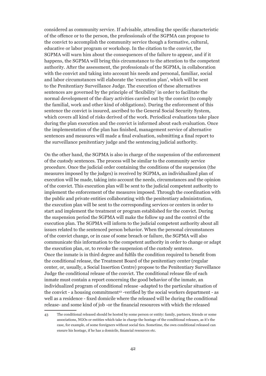considered as community service. If advisable, attending the specific characteristic of the offence or to the person, the professionals of the SGPMA can propose to the convict to accomplish the community service though a formative, cultural, educative or labor program or workshop. In the citation to the convict, the SGPMA will warn him about the consequences of the failure to appear, and if it happens, the SGPMA will bring this circumstance to the attention to the competent authority. After the assessment, the professionals of the SGPMA, in collaboration with the convict and taking into account his needs and personal, familiar, social and labor circumstances will elaborate the 'execution plan', which will be sent to the Penitentiary Surveillance Judge. The execution of these alternatives sentences are governed by the principle of 'flexibility' in order to facilitate the normal development of the diary activities carried out by the convict (to comply the familial, work and other kind of obligations). During the enforcement of this sentence the convict is insured, ascribed to the General Social Security System, which covers all kind of risks derived of the work. Periodical evaluations take place during the plan execution and the convict is informed about each evaluation. Once the implementation of the plan has finished, management service of alternative sentences and measures will made a final evaluation, submitting a final report to the surveillance penitentiary judge and the sentencing judicial authority.

On the other hand, the SGPMA is also in charge of the suspension of the enforcement of the custody sentences. The process will be similar to the community service procedure. Once the judicial order containing the conditions of the suspension (the measures imposed by the judges) is received by SGPMA, an individualized plan of execution will be made, taking into account the needs, circumstances and the opinion of the convict. This execution plan will be sent to the judicial competent authority to implement the enforcement of the measures imposed. Through the coordination with the public and private entities collaborating with the penitentiary administration, the execution plan will be sent to the corresponding services or centers in order to start and implement the treatment or program established for the convict. During the suspension period the SGPMA will make the follow up and the control of the execution plan. The SGPMA will inform to the judicial competent authority about all issues related to the sentenced person behavior. When the personal circumstances of the convict change, or in case of some breach or failure, the SGPMA will also communicate this information to the competent authority in order to change or adapt the execution plan, or, to revoke the suspension of the custody sentence. Once the inmate is in third degree and fulfils the condition required to benefit from the conditional release, the Treatment Board of the penitentiary center (regular center, or, usually, a Social Insertion Centre) propose to the Penitentiary Surveillance Judge the conditional release of the convict. The conditional release file of each inmate must contain a report concerning the good behavior of the inmate, an individualized program of conditional release -adapted to the particular situation of the convict - a housing commitment<sup>43</sup> -verified by the social workers department - as well as a residence - fixed domicile where the released will be during the conditional release- and some kind of job -or the financial resources with which the released

<sup>43</sup> The conditional released should be hosted by some person or entity: family, partners, friends or some associations, NGOs or entities which take in charge the hostage of the conditional releases, as it's the case, for example, of some foreigners without social ties. Sometime, the own conditional released can ensure his hostage, if he has a domicile, financial resources etc.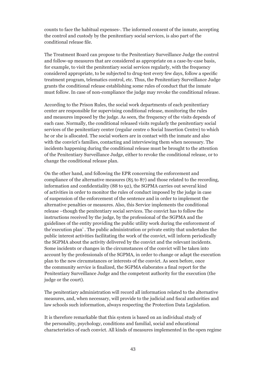counts to face the habitual expenses-. The informed consent of the inmate, accepting the control and custody by the penitentiary social services, is also part of the conditional release file.

The Treatment Board can propose to the Penitentiary Surveillance Judge the control and follow-up measures that are considered as appropriate on a case-by-case basis, for example, to visit the penitentiary social services regularly, with the frequency considered appropriate, to be subjected to drug-test every few days, follow a specific treatment program, telematics control, etc. Thus, the Penitentiary Surveillance Judge grants the conditional release establishing some rules of conduct that the inmate must follow. In case of non-compliance the judge may revoke the conditional release.

According to the Prison Rules, the social work departments of each penitentiary center are responsible for supervising conditional release, monitoring the rules and measures imposed by the judge. As seen, the frequency of the visits depends of each case. Normally, the conditional released visits regularly the penitentiary social services of the penitentiary center (regular centre o Social Insertion Centre) to which he or she is allocated. The social workers are in contact with the inmate and also with the convict's families, contacting and interviewing them when necessary. The incidents happening during the conditional release must be brought to the attention of the Penitentiary Surveillance Judge, either to revoke the conditional release, or to change the conditional release plan.

On the other hand, and following the EPR concerning the enforcement and compliance of the alternative measures (85 to 87) and those related to the recording, information and confidentiality (88 to 92), the SGPMA carries out several kind of activities in order to monitor the rules of conduct imposed by the judge in case of suspension of the enforcement of the sentence and in order to implement the alternative penalties or measures. Also, this Service implements the conditional release –though the penitentiary social services. The convict has to follow the instructions received by the judge, by the professional of the SGPMA and the guidelines of the entity providing the public utility work during the enforcement of the'execution plan' . The public administration or private entity that undertakes the public interest activities facilitating the work of the convict, will inform periodically the SGPMA about the activity delivered by the convict and the relevant incidents. Some incidents or changes in the circumstances of the convict will be taken into account by the professionals of the SGPMA, in order to change or adapt the execution plan to the new circumstances or interests of the convict. As seen before, once the community service is finalized, the SGPMA elaborates a final report for the Penitentiary Surveillance Judge and the competent authority for the execution (the judge or the court).

The penitentiary administration will record all information related to the alternative measures, and, when necessary, will provide to the judicial and fiscal authorities and law schools such information, always respecting the Protection Data Legislation.

It is therefore remarkable that this system is based on an individual study of the personality, psychology, conditions and familial, social and educational characteristics of each convict. All kinds of measures implemented in the open regime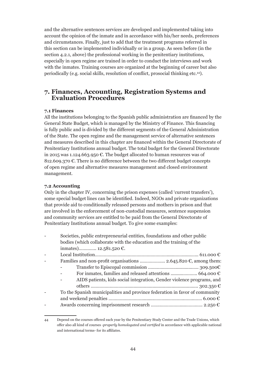and the alternative sentences services are developed and implemented taking into account the opinion of the inmate and in accordance with his/her needs, preferences and circumstances. Finally, just to add that the treatment programs referred in this section can be implemented individually or in a group. As seen before (in the section 4.2.1, above) the professional working in the penitentiary institutions, especially in open regime are trained in order to conduct the interviews and work with the inmates. Training courses are organized at the beginning of career but also periodically (e.g. social skills, resolution of conflict, prosocial thinking etc.44).

## **7. Finances, Accounting, Registration Systems and Evaluation Procedures**

## **7.1 Finances**

All the institutions belonging to the Spanish public administration are financed by the General State Budget, which is managed by the Ministry of Finance. This financing is fully public and is divided by the different segments of the General Administration of the State. The open regime and the management service of alternative sentences and measures described in this chapter are financed within the General Directorate of Penitentiary Institutions annual budget. The total budget for the General Directorate in 2015 was 1.124.663.950 €. The budget allocated to human resources was of 812.609.370  $\epsilon$ . There is no difference between the two different budget concepts of open regime and alternative measures management and closed environment management.

## **7.2 Accounting**

Only in the chapter IV, concerning the prison expenses (called 'current transfers'), some special budget lines can be identified. Indeed, NGOs and private organizations that provide aid to conditionally released persons and mothers in prison and that are involved in the enforcement of non-custodial measures, sentence suspension and community services are entitled to be paid from the General Directorate of Penitentiary Institutions annual budget. To give some examples:

| Societies, public entrepreneurial entities, foundations and other public<br>bodies (which collaborate with the education and the training of the |
|--------------------------------------------------------------------------------------------------------------------------------------------------|
| inmates) 12.581.520 €.                                                                                                                           |
|                                                                                                                                                  |
| Families and non-profit organisations  2.645.820 $\epsilon$ , among them:                                                                        |
|                                                                                                                                                  |
|                                                                                                                                                  |
| AIDS patients, kids social integration, Gender violence programs, and                                                                            |
|                                                                                                                                                  |
| To the Spanish municipalities and province federation in favor of community                                                                      |
|                                                                                                                                                  |
|                                                                                                                                                  |

<sup>44</sup> Depend on the courses offered each year by the Penitentiary Study Center and the Trade Unions, which offer also all kind of courses -*properly homologated and certified* in accordance with applicable national and international terms- for its affiliates.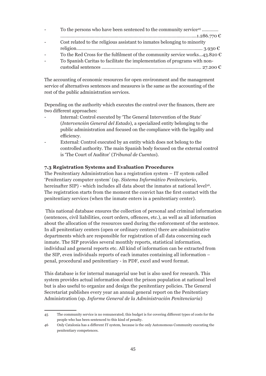| $\sim$ | To the persons who have been sentenced to the community service <sup>45</sup>       |
|--------|-------------------------------------------------------------------------------------|
|        |                                                                                     |
|        | Cost related to the religious assistant to inmates belonging to minority            |
|        |                                                                                     |
|        | To the Red Cross for the fulfilment of the community service works43.820 $\epsilon$ |
|        | To Spanish Caritas to facilitate the implementation of programs with non-           |
|        |                                                                                     |

The accounting of economic resources for open environment and the management service of alternatives sentences and measures is the same as the accounting of the rest of the public administration services.

Depending on the authority which executes the control over the finances, there are two different approaches:

- Internal: Control executed by 'The General Intervention of the State' (*Intervención General del Estado*), a specialized entity belonging to the public administration and focused on the compliance with the legality and efficiency.
- External: Control executed by an entity which does not belong to the controlled authority. The main Spanish body focused on the external control is 'The Court of Auditor' (*Tribunal de Cuentas*).

## **7.3 Registration Systems and Evaluation Procedures**

The Penitentiary Administration has a registration system – IT system called 'Penitentiary computer system' (sp. *Sistema Informático Penitenciario*, hereinafter SIP) - which includes all data about the inmates at national level<sup>46</sup>. The registration starts from the moment the convict has the first contact with the penitentiary services (when the inmate enters in a penitentiary center).

 This national database ensures the collection of personal and criminal information (sentences, civil liabilities, court orders, offences, etc.), as well as all information about the allocation of the resources used during the enforcement of the sentence. In all penitentiary centers (open or ordinary centers) there are administrative departments which are responsible for registration of all data concerning each inmate. The SIP provides several monthly reports, statistical information, individual and general reports etc. All kind of information can be extracted from the SIP, even individuals reports of each inmates containing all information – penal, procedural and penitentiary - in PDF, excel and word format.

This database is for internal managerial use but is also used for research. This system provides actual information about the prison population at national level but is also useful to organize and design the penitentiary policies. The General Secretariat publishes every year an annual general report on the Penitentiary Administration (sp. *Informe General de la Administración Penitenciaria*)

<sup>45</sup> The community service is no remunerated; this budget is for covering different types of costs for the people who has been sentenced to this kind of penalty.

<sup>46</sup> Only Catalonia has a different IT system, because is the only Autonomous Community executing the penitentiary competences.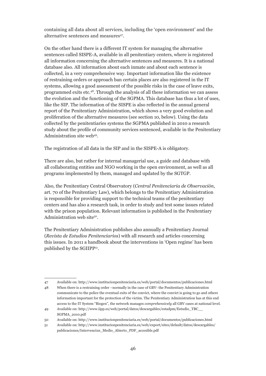containing all data about all services, including the 'open environment' and the alternative sentences and measures<sup>47</sup>.

On the other hand there is a different IT system for managing the alternative sentences called SISPE-A, available in all penitentiary centers, where is registered all information concerning the alternative sentences and measures. It is a national database also. All information about each inmate and about each sentence is collected, in a very comprehensive way. Important information like the existence of restraining orders or approach ban certain places are also registered in the IT systems, allowing a good assessment of the possible risks in the case of leave exits, programmed exits etc.48. Through the analysis of all these information we can assess the evolution and the functioning of the SGPMA. This database has thus a lot of uses, like the SIP. The information of the SISPE is also reflected in the annual general report of the Penitentiary Administration, which shows a very good evolution and proliferation of the alternative measures (see section 10, below). Using the data collected by the penitentiaries systems the SGPMA published in 2010 a research study about the profile of community services sentenced, available in the Penitentiary Administration site web<sup>49</sup>.

The registration of all data in the SIP and in the SISPE-A is obligatory.

There are also, but rather for internal managerial use, a guide and database with all collaborating entities and NGO working in the open environment, as well as all programs implemented by them, managed and updated by the SGTGP.

Also, the Penitentiary Central Observatory (*Central Penitenciaria de Observación*, art. 70 of the Penitentiary Law), which belongs to the Penitentiary Administration is responsible for providing support to the technical teams of the penitentiary centers and has also a research task, in order to study and test some issues related with the prison population. Relevant information is published in the Penitentiary Administration web site<sup>50</sup>.

The Penitentiary Administration publishes also annually a Penitentiary Journal (*Revista de Estudios Penitenciarios*) with all research and articles concerning this issues. In 2011 a handbook about the interventions in 'Open regime' has been published by the SGIIPP51.

<sup>47</sup> Available on: http://www.institucionpenitenciaria.es/web/portal/documentos/publicaciones.html

<sup>48</sup> When there is a restraining order –normally in the case of GBV- the Penitentiary Administration

communicate to the police the eventual exits of the convict, where the convict is going to go and others information important for the protection of the victim. The Penitentiary Administration has at this end access to the IT System "Biogen", the network manages *comprehensively* all GBV cases at national level.

<sup>49</sup> Available on: http://www.iipp.es/web/portal/datos/descargables/estadpm/Estudio\_TBC\_\_ SGPMA\_2010.pdf

<sup>50</sup> Available on: http://www.institucionpenitenciaria.es/web/portal/documentos/publicaciones.html

<sup>51</sup> Available on: http://www.institucionpenitenciaria.es/web/export/sites/default/datos/descargables/ publicaciones/Intervencixn\_Medio\_Abierto\_PDF\_accesible.pdf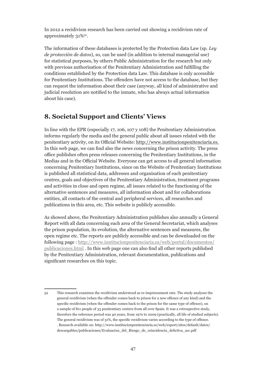In 2012 a recidivism research has been carried out showing a recidivism rate of approximately 31%52.

The information of these databases is protected by the Protection data Law (sp. *Ley de protección de datos*), so, can be used (in addition to internal managerial use) for statistical purposes, by others Public Administration for the research but only with previous authorisation of the Penitentiary Administration and fulfilling the conditions established by the Protection data Law. This database is only accessible for Penitentiary Institutions. The offenders have not access to the database, but they can request the information about their case (anyway, all kind of administrative and judicial resolution are notified to the inmate, who has always actual information about his case).

## **8. Societal Support and Clients' Views**

In line with the EPR (especially 17, 106, 107 y 108) the Penitentiary Administration informs regularly the media and the general public about all issues related with the penitentiary activity, on its Official Website: http://www.institucionpenitenciaria.es. In this web page, we can find also the news concerning the prison activity. The press office publishes often press releases concerning the Penitentiary Institutions, in the Medias and in the Official Website. Everyone can get access to all general information concerning Penitentiary Institutions, since on the Website of Penitentiary Institutions is published all statistical data, addresses and organisation of each penitentiary centres, goals and objectives of the Penitentiary Administration, treatment programs and activities in close and open regime, all issues related to the functioning of the alternative sentences and measures, all information about and for collaborations entities, all contacts of the central and peripheral services, all researches and publications in this area, etc. This website is publicly accessible.

As showed above, the Penitentiary Administration publishes also annually a General Report with all data concerning each area of the General Secretariat, which analyses the prison population, its evolution, the alternative sentences and measures, the open regime etc. The reports are publicly accessible and can be downloaded on the following page : http://www.institucionpenitenciaria.es/web/portal/documentos/ publicaciones.html . In this web page one can also find all other reports published by the Penitentiary Administration, relevant documentation, publications and significant researches on this topic.

<sup>52</sup> This research examines the recidivism understood as re-imprisonment rate. The study analyzes the general recidivism (when the offender comes back to prison for a new offence of any kind) and the specific recidivism (when the offender comes back to the prison for the same type of offence), on a sample of 811 people of 33 penitentiary centers from all over Spain. It was a retrospective study, therefore the reference period was 40 years, from 1970 to 2009 (practically, all life of studied subjects). The general recidivism was of 31%, the specific recidivism varies according to the type of offence. . Research available on: http://www.institucionpenitenciaria.es/web/export/sites/default/datos/ descargables/publicaciones/Evaluacixn\_del\_Riesgo\_de\_reincidencia\_delictiva\_acc.pdf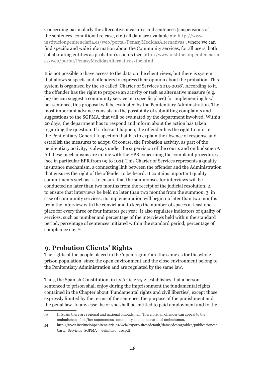Concerning particularly the alternative measures and sentences (suspensions of the sentences, conditional release, etc.) all data are available on: http://www. institucionpenitenciaria.es/web/portal/PenasyMedidasAlternativas , where we can find specific and wide information about the Community services, for all users, both collaborating entities as probation's clients (see http://www.institucionpenitenciaria. es/web/portal/PenasyMedidasAlternativas/tbc.html .

It is not possible to have access to the data on the client views, but there is system that allows suspects and offenders to express their opinion about the probation. This system is organised by the so called 'Charter of Services 2015-2018'. According to it, the offender has the right to propose an activity or task as alternative measure (e.g. he/she can suggest a community service in a specific place) for implementing his/ her sentence, this proposal will be evaluated by the Penitentiary Administration. The most important advance consists on the possibility of submitting complaints and suggestions to the SGPMA, that will be evaluated by the department involved. Within 20 days, the department has to respond and inform about the action has taken regarding the question. If it doesn´t happen, the offender has the right to inform the Penitentiary General Inspection that has to explain the absence of response and establish the measures to adopt. Of course, the Probation activity, as part of the penitentiary activity, is always under the supervision of the courts and ombudsmen53. All these mechanisms are in line with the EPR concerning the complaint procedures (see in particular EPR from 99 to 103). This Charter of Services represents a quality insurance mechanism, a connecting link between the offender and the Administration that ensures the right of the offender to be heard. It contains important quality commitments such as: 1. to ensure that the summonses for interviews will be conducted no later than two months from the receipt of the judicial resolution, 2. to ensure that interviews be held no later than two months from the summon, 3. in case of community services: its implementation will begin no later than two months from the interview with the convict and to keep the number of spaces at least one place for every three or four inmates per year. It also regulates indicators of quality of services, such as number and percentage of the interviews held within the standard period, percentage of sentences initiated within the standard period, percentage of compliance etc. 54.

## **9. Probation Clients' Rights**

The rights of the people placed in the 'open regime' are the same as for the whole prison population, since the open environment and the close environment belong to the Penitentiary Administration and are regulated by the same law.

Thus, the Spanish Constitution, in its Article 25.2, establishes that a person sentenced to prison shall enjoy during the imprisonment the fundamental rights contained in the Chapter about 'Fundamental rights and civil liberties', except those expressly limited by the terms of the sentence, the purpose of the punishment and the penal law. In any case, he or she shall be entitled to paid employment and to the

<sup>53</sup> In Spain there are regional and national ombudsmen. Therefore, an offender can appeal to the ombudsman of his/her autonomous community and to the national ombudsman.

<sup>54</sup> http://www.institucionpenitenciaria.es/web/export/sites/default/datos/descargables/publicaciones/ Carta\_Servicios\_SGPMA\_\_definitivo\_acc.pdf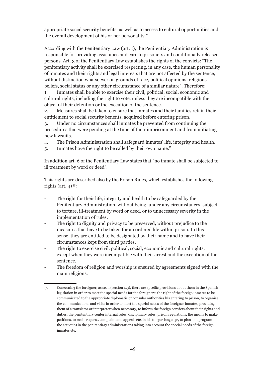appropriate social security benefits, as well as to access to cultural opportunities and the overall development of his or her personality."

According with the Penitentiary Law (art. 1), the Penitentiary Administration is responsible for providing assistance and care to prisoners and conditionally released persons. Art. 3 of the Penitentiary Law establishes the rights of the convicts: "The penitentiary activity shall be exercised respecting, in any case, the human personality of inmates and their rights and legal interests that are not affected by the sentence, without distinction whatsoever on grounds of race, political opinions, religious beliefs, social status or any other circumstance of a similar nature". Therefore:

1. Inmates shall be able to exercise their civil, political, social, economic and cultural rights, including the right to vote, unless they are incompatible with the object of their detention or the execution of the sentence.

2. Measures shall be taken to ensure that inmates and their families retain their entitlement to social security benefits, acquired before entering prison.

3. Under no circumstances shall inmates be prevented from continuing the procedures that were pending at the time of their imprisonment and from initiating new lawsuits.

- 4. The Prison Administration shall safeguard inmates' life, integrity and health.
- 5. Inmates have the right to be called by their own name."

In addition art. 6 of the Penitentiary Law states that "no inmate shall be subjected to ill treatment by word or deed".

This rights are described also by the Prison Rules, which establishes the following rights (art.  $4$ )<sup>55</sup>:

- The right for their life, integrity and health to be safeguarded by the Penitentiary Administration, without being, under any circumstances, subject to torture, ill-treatment by word or deed, or to unnecessary severity in the implementation of rules.
- The right to dignity and privacy to be preserved, without prejudice to the measures that have to be taken for an ordered life within prison. In this sense, they are entitled to be designated by their name and to have their circumstances kept from third parties.
- The right to exercise civil, political, social, economic and cultural rights, except when they were incompatible with their arrest and the execution of the sentence.
- The freedom of religion and worship is ensured by agreements signed with the main religions.

<sup>55</sup> Concerning the foreigner, as seen (section 4.3), there are specific provisions about them in the Spanish legislation in order to meet the special needs for the foreigners: the right of the foreign inmates to be communicated to the appropriate diplomatic or consular authorities his entering to prison, to organize the communications and visits in order to meet the special needs of the foreigner inmates, providing them of a translator or interpreter when necessary, to inform the foreign convicts about their rights and duties, the penitentiary center internal rules, disciplinary rules, prison regulations, the means to make petitions, to make request, complaint and appeals etc. in his tongue language, to plan and program the activities in the penitentiary administrations taking into account the special needs of the foreign inmates etc.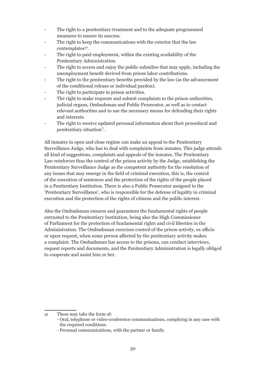- The right to a penitentiary treatment and to the adequate programmed measures to ensure its success.
- The right to keep the communications with the exterior that the law contemplates<sup>56</sup>.
- The right to paid employment, within the existing availability of the Penitentiary Administration.
- The right to access and enjoy the public subsidies that may apply, including the unemployment benefit derived from prison labor contributions.
- The right to the penitentiary benefits provided by the law (as the advancement of the conditional release or individual pardon).
- The right to participate in prison activities.
- The right to make requests and submit complaints to the prison authorities, judicial organs, Ombudsman and Public Prosecutor, as well as to contact relevant authorities and to use the necessary means for defending their rights and interests.
- The right to receive updated personal information about their procedural and penitentiary situation".

All inmates in open and close regime can make an appeal to the Penitentiary Surveillance Judge, who has to deal with complaints from inmates. This judge attends all kind of suggestions, complaints and appeals of the inmates. The Penitentiary Law reinforces thus the control of the prison activity by the Judge, establishing the Penitentiary Surveillance Judge as the competent authority for the resolution of any issues that may emerge in the field of criminal execution, this is, the control of the execution of sentences and the protection of the rights of the people placed in a Penitentiary Institution. There is also a Public Prosecutor assigned to the 'Penitentiary Surveillance', who is responsible for the defense of legality in criminal execution and the protection of the rights of citizens and the public interest.

Also the Ombudsman ensures and guarantees the fundamental rights of people entrusted to the Penitentiary Institution, being also the High Commissioner of Parliament for the protection of fundamental rights and civil liberties in the Administration. The Ombudsman exercises control of the prison activity, ex officio or upon request, when some person affected by the penitentiary activity makes a complaint. The Ombudsman has access to the prisons, can conduct interviews, request reports and documents, and the Penitentiary Administration is legally obliged to cooperate and assist him or her.

<sup>56</sup> These may take the form of:

<sup>-</sup> Oral, telephone or video-conference communications, complying in any case with the required conditions.

<sup>-</sup> Personal communications, with the partner or family.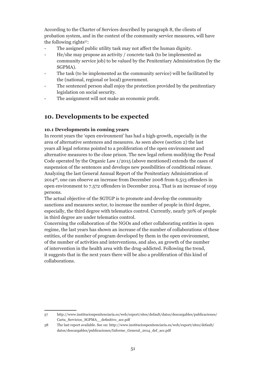According to the Charter of Services described by paragraph 8, the clients of probation system, and in the context of the community service measures, will have the following rights<sup>57</sup>:

- The assigned public utility task may not affect the human dignity.
- He/she may propose an activity / concrete task (to be implemented as community service job) to be valued by the Penitentiary Administration (by the SGPMA).
- The task (to be implemented as the community service) will be facilitated by the (national, regional or local) government.
- The sentenced person shall enjoy the protection provided by the penitentiary legislation on social security.
- The assignment will not make an economic profit.

## **10. Developments to be expected**

## **10.1 Developments in coming years**

In recent years the 'open environment' has had a high-growth, especially in the area of alternative sentences and measures. As seen above (section 2) the last years all legal reforms pointed to a proliferation of the open environment and alternative measures to the close prison. The new legal reform modifying the Penal Code operated by the Organic Law 1/2015 (above mentioned) extends the cases of suspension of the sentences and develops new possibilities of conditional release. Analyzing the last General Annual Report of the Penitentiary Administration of 201458, one can observe an increase from December 2008 from 6.513 offenders in open environment to 7.572 offenders in December 2014. That is an increase of 1059 persons.

The actual objective of the SGTGP is to promote and develop the community sanctions and measures sector, to increase the number of people in third degree, especially, the third degree with telematics control. Currently, nearly 30% of people in third degree are under telematics control.

Concerning the collaboration of the NGOs and other collaborating entities in open regime, the last years has shown an increase of the number of collaborations of these entities, of the number of program developed by them in the open environment, of the number of activities and interventions, and also, an growth of the number of intervention in the health area with the drug-addicted. Following the trend, it suggests that in the next years there will be also a proliferation of this kind of collaborations.

57 http://www.institucionpenitenciaria.es/web/export/sites/default/datos/descargables/publicaciones/ Carta\_Servicios\_SGPMA\_\_definitivo\_acc.pdf

<sup>58</sup> The last report available. See on: http://www.institucionpenitenciaria.es/web/export/sites/default/ datos/descargables/publicaciones/Informe\_General\_2014\_def\_acc.pdf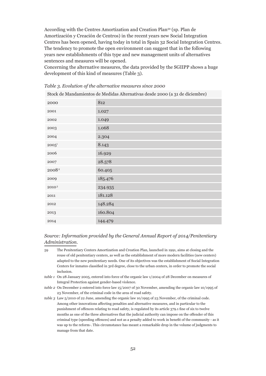According with the Centres Amortization and Creation Plan59 (sp. Plan de Amortización y Creación de Centros) in the recent years new Social Integration Centres has been opened, having today in total in Spain 32 Social Integration Centres. The tendency to promote the open environment can suggest that in the following years new establishments of this type and new management units of alternatives sentences and measures will be opened.

Concerning the alternative measures, the data provided by the SGIIPP shows a huge development of this kind of measures (Table 3).

*Table 3. Evolution of the alternative measures since 2000*

Stock de Mandamientos de Medidas Alternativas desde 2000 (a 31 de diciembre)

| 2000              | 812     |
|-------------------|---------|
| 2001              | 1.027   |
| 2002              | 1.049   |
| 2003              | 1.068   |
| 2004              | 2.304   |
| $2005^1$          | 8.143   |
| 2006              | 16.929  |
| 2007              | 28.578  |
| 2008 <sup>2</sup> | 60.405  |
| 2009              | 185.476 |
| $2010\,{}^{3}$    | 234.935 |
| 2011              | 181.128 |
| 2012              | 148.284 |
| 2013              | 160.804 |
| 2014              | 144.479 |

## *Source: Information provided by the General Annual Report of 2014/Penitentiary Administration.*

- 59 The Penitentiary Centers Amortization and Creation Plan, launched in 1991, aims at closing and the reuse of old penitentiary centers, as well as the establishment of more modern facilities (new centers) adapted to the new penitentiary needs. One of its objectives was the establishment of Social Integration Centers for inmates classified in 3rd degree, close to the urban centers, in order to promote the social inclusion.
- *table 1* On 28 January 2005, entered into force of the organic law 1/2004 of 28 December on measures of Integral Protection against gender-based violence.
- *table 2* On December 2 entered into force law 15/2007 of 30 November, amending the organic law 10/1995 of 23 November, of the criminal code in the area of road safety.
- *table 3* Law 5/2010 of 22 June, amending the organic law 10/1995 of 23 November, of the criminal code. Among other innovations affecting penalties and alternative measures, and in particular to the punishment of offences relating to road safety, is regulated by its article 379.1 fine of six to twelve months as one of the three alternatives that the judicial authority can impose on the offender of this criminal type (speeding offences) and not as a penalty added to work in benefit of the community - as it was up to the reform-. This circumstance has meant a remarkable drop in the volume of judgments to manage from that date.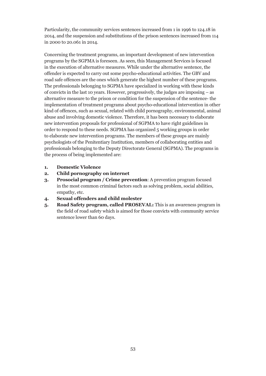Particularity, the community services sentences increased from 1 in 1996 to 124.18 in 2014, and the suspension and substitutions of the prison sentences increased from 114 in 2000 to 20.061 in 2014.

Concerning the treatment programs, an important development of new intervention programs by the SGPMA is foreseen. As seen, this Management Services is focused in the execution of alternative measures. While under the alternative sentence, the offender is expected to carry out some psycho-educational activities. The GBV and road safe offences are the ones which generate the highest number of these programs. The professionals belonging to SGPMA have specialized in working with these kinds of convicts in the last 10 years. However, progressively, the judges are imposing – as alternative measure to the prison or condition for the suspension of the sentence- the implementation of treatment programs about psycho-educational intervention in other kind of offences, such as sexual, related with child pornography, environmental, animal abuse and involving domestic violence. Therefore, it has been necessary to elaborate new intervention proposals for professional of SGPMA to have right guidelines in order to respond to these needs. SGPMA has organized 5 working groups in order to elaborate new intervention programs. The members of these groups are mainly psychologists of the Penitentiary Institution, members of collaborating entities and professionals belonging to the Deputy Directorate General (SGPMA). The programs in the process of being implemented are:

- **1. Domestic Violence**
- **2. Child pornography on internet**
- **3. Prosocial program / Crime prevention**: A prevention program focused in the most common criminal factors such as solving problem, social abilities, empathy, etc.
- **4. Sexual offenders and child molester**
- **5. Road Safety program, called PROSEVAL:** This is an awareness program in the field of road safety which is aimed for those convicts with community service sentence lower than 60 days.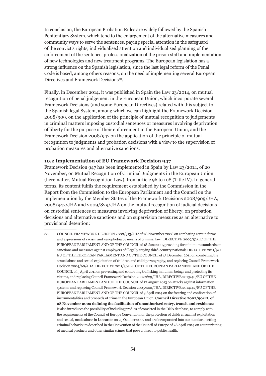In conclusion, the European Probation Rules are widely followed by the Spanish Penitentiary System, which tend to the enlargement of the alternative measures and community ways to serve the sentences, paying special attention in the safeguard of the convict's rights, individualised attention and individualised planning of the enforcement of the sentence, professionalization of the prison staff and implementation of new technologies and new treatment programs. The European legislation has a strong influence on the Spanish legislation, since the last legal reform of the Penal Code is based, among others reasons, on the need of implementing several European Directives and Framework Decisions<sup>60</sup>.

Finally, in December 2014, it was published in Spain the Law 23/2014, on mutual recognition of penal judgement in the European Union, which incorporate several Framework Decisions (and some European Directives) related with this subject to the Spanish legal System, among which we can highlight the Framework Decision 2008/909, on the application of the principle of mutual recognition to judgements in criminal matters imposing custodial sentences or measures involving deprivation of liberty for the purpose of their enforcement in the European Union, and the Framework Decision 2008/947 on the application of the principle of mutual recognition to judgments and probation decisions with a view to the supervision of probation measures and alternative sanctions.

#### **10.2 Implementation of EU Framework Decision 947**

Framework Decision 947 has been implemented in Spain by Law 23/2014, of 20 November, on Mutual Recognition of Criminal Judgments in the European Union (hereinafter, Mutual Recognition Law), from article 96 to 108 (Title IV). In general terms, its content fulfils the requirement established by the Commission in the Report from the Commission to the European Parliament and the Council on the implementation by the Member States of the Framework Decisions 2008/909/JHA, 2008/947/JHA and 2009/829/JHA on the mutual recognition of judicial decisions on custodial sentences or measures involving deprivation of liberty, on probation decisions and alternative sanctions and on supervision measures as an alternative to provisional detention:

<sup>60</sup> COUNCIL FRAMEWORK DECISION 2008/913/JHAof 28 November 2008 on combating certain forms and expressions of racism and xenophobia by means of criminal law ; DIRECTIVE 2009/52/EC OF THE EUROPEAN PARLIAMENT AND OF THE COUNCIL of 18 June 2009providing for minimum standards on sanctions and measures against employers of illegally staying third-country nationals DIRECTIVE 2011/92/ EU OF THE EUROPEAN PARLIAMENT AND OF THE COUNCIL of 13 December 2011 on combating the sexual abuse and sexual exploitation of children and child pornography, and replacing Council Framework Decision 2004/68/JHA, DIRECTIVE 2011/36/EU OF THE EUROPEAN PARLIAMENT AND OF THE COUNCIL of 5 April 2011 on preventing and combating trafficking in human beings and protecting its victims, and replacing Council Framework Decision 2002/629/JHA, DIRECTIVE 2013/40/EU OF THE EUROPEAN PARLIAMENT AND OF THE COUNCIL of 12 August 2013 on attacks against information systems and replacing Council Framework Decision 2005/222/JHA, DIRECTIVE 2014/42/EU OF THE EUROPEAN PARLIAMENT AND OF THE COUNCIL of 3 April 2014 on the freezing and confiscation of instrumentalities and proceeds of crime in the European Union; **Council Directive 2002/90/EC of 28 November 2002 defining the facilitation of unauthorised entry, transit and residence**  It also introduces the possibility of including profiles of convicted in the DNA database, to comply with the requirements of the Council of Europe Convention for the protection of children against exploitation and sexual, made abuse in Lanzarote on 25 October 2007 and are incorporated into our standard-setting criminal behaviours described in the Convention of the Council of Europe of 28 April 2014 on counterfeiting of medical products and other similar crimes that pose a threat to public health.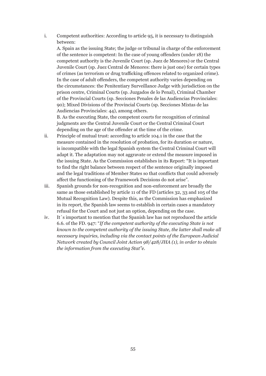i. Competent authorities: According to article 95, it is necessary to distinguish between:

 A. Spain as the issuing State; the judge or tribunal in charge of the enforcement of the sentence is competent: In the case of young offenders (under 18) the competent authority is the Juvenile Court (sp. Juez de Menores) or the Central Juvenile Court (sp. Juez Central de Menores: there is just one) for certain types of crimes (as terrorism or drug trafficking offences related to organized crime). In the case of adult offenders, the competent authority varies depending on the circumstances: the Penitentiary Surveillance Judge with jurisdiction on the prison centre, Criminal Courts (sp. Juzgados de lo Penal), Criminal Chamber of the Provincial Courts (sp. Secciones Penales de las Audiencias Provinciales: 90); Mixed Divisions of the Provincial Courts (sp. Secciones Mixtas de las Audiencias Provinciales: 44), among others.

 B. As the executing State, the competent courts for recognition of criminal judgments are the Central Juvenile Court or the Central Criminal Court depending on the age of the offender at the time of the crime.

- ii. Principle of mutual trust: according to article 104.1 in the case that the measure contained in the resolution of probation, for its duration or nature, is incompatible with the legal Spanish system the Central Criminal Court will adapt it. The adaptation may not aggravate or extend the measure imposed in the issuing State. As the Commission establishes in its Report: "It is important to find the right balance between respect of the sentence originally imposed and the legal traditions of Member States so that conflicts that could adversely affect the functioning of the Framework Decisions do not arise".
- iii. Spanish grounds for non-recognition and non-enforcement are broadly the same as those established by article 11 of the FD (articles 32, 33 and 105 of the Mutual Recognition Law). Despite this, as the Commission has emphasized in its report, the Spanish law seems to establish in certain cases a mandatory refusal for the Court and not just an option, depending on the case.
- iv. It´s important to mention that the Spanish law has not reproduced the article 6.6. of the FD. 947: "*If the competent authority of the executing State is not known to the competent authority of the issuing State, the latter shall make all necessary inquiries, including via the contact points of the European Judicial Network created by Council Joint Action 98/428/JHA (1), in order to obtain the information from the executing Stat"e.*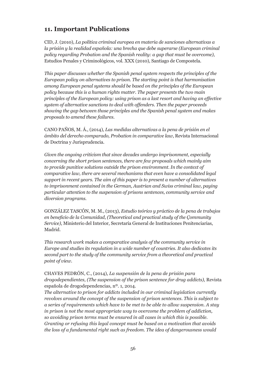## **11. Important Publications**

CID, J. (2010), *La política criminal europea en materia de sanciones alternativas a la prisión y la realidad española: una brecha que debe superarse (European criminal policy regarding Probation and the Spanish reality: a gap that must be overcome)*, Estudios Penales y Criminológicos, vol. XXX (2010), Santiago de Compostela.

*This paper discusses whether the Spanish penal system respects the principles of the European policy on alternatives to prison. The starting point is that harmonisation among European penal systems should be based on the principles of the European policy because this is a human rights matter. The paper presents the two main principles of the European policy: using prison as a last resort and having an effective system of alternative sanctions to deal with offenders. Then the paper proceeds showing the gap between those principles and the Spanish penal system and makes proposals to amend these failures.*

CANO PAÑOS, M. Á., (2014), *Las medidas alternativas a la pena de prisión en el ámbito del derecho comparado, Probation in comparative law*, Revista Internacional de Doctrina y Jurisprudencia.

*Given the ongoing criticism that since decades undergo imprisonment, especially concerning the short prison sentences, there are few proposals which mainly aim to provide punitive solutions outside the prison environment. In the context of comparative law, there are several mechanisms that even have a consolidated legal support in recent years. The aim of this paper is to present a number of alternatives to imprisonment contained in the German, Austrian and Swiss criminal law, paying particular attention to the suspension of prisons sentences, community service and diversion programs.*

GONZÁLEZ TASCÓN, M. M., (2013), *Estudio teórico y práctico de la pena de trabajos en beneficio de la Comunidad*, *(Theoretical and practical study of the Çommunity Service)*, Ministerio del Interior, Secretaría General de Instituciones Penitenciarias, Madrid.

*This research work makes a comparative analysis of the community service in Europe and studies its regulation in a wide number of countries. It also dedicates its second part to the study of the community service from a theoretical and practical point of view.*

CHAVES PEDRÓN, C., (2014), *La suspensión de la pena de prisión para drogodependientes, (The suspension of the prison sentence for drug addicts),* Revista española de drogodependencias, nº. 1, 2014.

*The alternative to prison for addicts included in our criminal legislation currently revolves around the concept of the suspension of prison sentences. This is subject to a series of requirements which have to be met to be able to allow suspension. A stay in prison is not the most appropriate way to overcome the problem of addiction, so avoiding prison terms must be ensured in all cases in which this is possible. Granting or refusing this legal concept must be based on a motivation that avoids the loss of a fundamental right such as freedom. The idea of dangerousness would*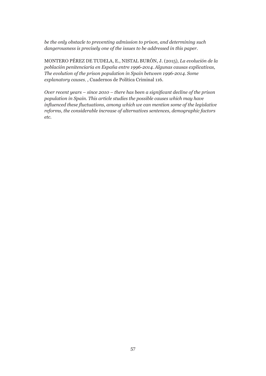*be the only obstacle to preventing admission to prison, and determining such dangerousness is precisely one of the issues to be addressed in this paper.*

MONTERO PÉREZ DE TUDELA, E., NISTAL BURÓN, J. (2015), *La evolución de la población penitenciaria en España entre 1996-2014. Algunas causas explicativas, The evolution of the prison population in Spain between 1996-2014. Some explanatory causes,* , Cuadernos de Política Criminal 116.

*Over recent years – since 2010 – there has been a significant decline of the prison population in Spain. This article studies the possible causes which may have influenced these fluctuations, among which we can mention some of the legislative reforms, the considerable increase of alternatives sentences, demographic factors etc.*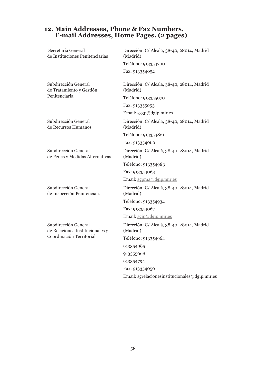## **12. Main Addresses, Phone & Fax Numbers, E-mail Addresses, Home Pages. (2 pages)**

| Secretaría General<br>de Instituciones Penitenciarias                               | Dirección: C/ Alcalá, 38-40, 28014, Madrid<br>(Madrid) |  |
|-------------------------------------------------------------------------------------|--------------------------------------------------------|--|
|                                                                                     | Teléfono: 913354700                                    |  |
|                                                                                     | Fax: 913354052                                         |  |
| Subdirección General<br>de Tratamiento y Gestión                                    | Dirección: C/ Alcalá, 38-40, 28014, Madrid<br>(Madrid) |  |
| Penitenciaria                                                                       | Teléfono: 913355070                                    |  |
|                                                                                     | Fax: 913355053                                         |  |
|                                                                                     | Email: sggp@dgip.mir.es                                |  |
| Subdirección General<br>de Recursos Humanos                                         | Dirección: C/ Alcalá, 38-40, 28014, Madrid<br>(Madrid) |  |
|                                                                                     | Teléfono: 913354821                                    |  |
|                                                                                     | Fax: 913354060                                         |  |
| Subdirección General<br>de Penas y Medidas Alternativas                             | Dirección: C/ Alcalá, 38-40, 28014, Madrid<br>(Madrid) |  |
|                                                                                     | Teléfono: 913354983                                    |  |
|                                                                                     | Fax: 913354063                                         |  |
|                                                                                     | Email: sgpma@dgip.mir.es                               |  |
| Subdirección General<br>de Inspección Penitenciaria                                 | Dirección: C/ Alcalá, 38-40, 28014, Madrid<br>(Madrid) |  |
|                                                                                     | Teléfono: 913354934                                    |  |
|                                                                                     | Fax: 913354067                                         |  |
|                                                                                     | Email: sgip@dgip.mir.es                                |  |
| Subdirección General<br>de Relaciones Institucionales y<br>Coordinación Territorial | Dirección: C/ Alcalá, 38-40, 28014, Madrid<br>(Madrid) |  |
|                                                                                     | Teléfono: 913354964                                    |  |
|                                                                                     | 913354985                                              |  |
|                                                                                     | 913355068                                              |  |
|                                                                                     | 913354794                                              |  |
|                                                                                     | Fax: 913354050                                         |  |
|                                                                                     | Email: sgrelacionesinstitucionales@dgip.mir.es         |  |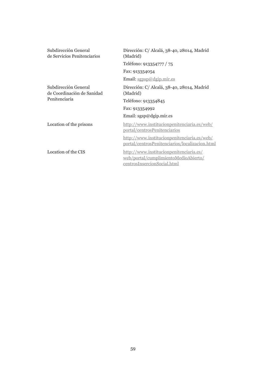| Subdirección General<br>de Servicios Penitenciarios                 | Dirección: C/ Alcalá, 38-40, 28014, Madrid<br>(Madrid)                                                         |  |
|---------------------------------------------------------------------|----------------------------------------------------------------------------------------------------------------|--|
|                                                                     | Teléfono: 913354777 / 75                                                                                       |  |
|                                                                     | Fax: 913354054                                                                                                 |  |
|                                                                     | Email: sgpsp@dgip.mir.es                                                                                       |  |
| Subdirección General<br>de Coordinación de Sanidad<br>Penitenciaria | Dirección: C/ Alcalá, 38-40, 28014, Madrid<br>(Madrid)                                                         |  |
|                                                                     | Teléfono: 913354845                                                                                            |  |
|                                                                     | Fax: 913354992                                                                                                 |  |
|                                                                     | Email: $sgsp@dgip.mir.es$                                                                                      |  |
| Location of the prisons                                             | http://www.institucionpenitenciaria.es/web/<br>portal/centrosPenitenciarios                                    |  |
|                                                                     | http://www.institucionpenitenciaria.es/web/<br>portal/centrosPenitenciarios/localizacion.html                  |  |
| Location of the CIS                                                 | http://www.institucionpenitenciaria.es/<br>web/portal/cumplimientoMedioAbierto/<br>centrosInsercionSocial.html |  |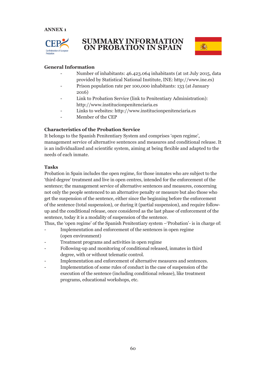

## **SUMMARY INFORMATION ON PROBATION IN SPAIN**



## **General Information**

- Number of inhabitants: 46.423.064 inhabitants (at 1st July 2015, data provided by Statistical National Institute, INE: http://www.ine.es)
- Prison population rate per 100,000 inhabitants: 133 (at January 2016)
- Link to Probation Service (link to Penitentiary Administration): http://www.institucionpenitenciaria.es
- Links to websites: http://www.institucionpenitenciaria.es
- Member of the CEP

## **Characteristics of the Probation Service**

It belongs to the Spanish Penitentiary System and comprises 'open regime', management service of alternative sentences and measures and conditional release. It is an individualized and scientific system, aiming at being flexible and adapted to the needs of each inmate.

## **Tasks**

Probation in Spain includes the open regime, for those inmates who are subject to the 'third degree' treatment and live in open centres, intended for the enforcement of the sentence; the management service of alternative sentences and measures, concerning not only the people sentenced to an alternative penalty or measure but also those who get the suspension of the sentence, either since the beginning before the enforcement of the sentence (total suspension), or during it (partial suspension), and require followup and the conditional release, once considered as the last phase of enforcement of the sentence, today it is a modality of suspension of the sentence.

Thus, the 'open regime' of the Spanish Penitentiary system –'Probation'- is in charge of:

- Implementation and enforcement of the sentences in open regime (open environment)
- Treatment programs and activities in open regime
- Following-up and monitoring of conditional released, inmates in third degree, with or without telematic control.
- Implementation and enforcement of alternative measures and sentences.
- Implementation of some rules of conduct in the case of suspension of the execution of the sentence (including conditional release), like treatment programs, educational workshops, etc.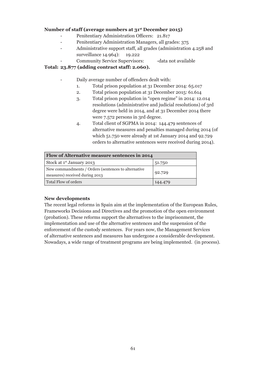## **Number of staff (average numbers at 31st December 2015)**

- Penitentiary Administration Officers: 21.817
- Penitentiary Administration Managers, all grades: 375
- Administrative support staff, all grades (administration 4.258 and surveillance 14.964): 19.222
	- Community Service Supervisors: -data not available

## **Total: 23.877 (adding contract staff: 2.060).**

- Daily average number of offenders dealt with:
	- 1. Total prison population at 31 December 2014: 65.017
	- 2. Total prison population at 31 December 2015: 61.614
	- 3. Total prison population in "open regime" in 2014: 12.014 resolutions (administrative and judicial resolutions) of 3rd degree were held in 2014, and at 31 December 2014 there were 7.572 persons in 3rd degree.
	- 4. Total client of SGPMA in 2014: 144.479 sentences of alternative measures and penalties managed during 2014 (of which 51.750 were already at 1st January 2014 and 92.729 orders to alternative sentences were received during 2014).

| Flow of Alternative measure sentences in 2014                                         |         |  |  |
|---------------------------------------------------------------------------------------|---------|--|--|
| Stock at 1 <sup>st</sup> January 2013                                                 | 51.750  |  |  |
| New commandments / Orders (sentences to alternative<br>measures) received during 2013 | 92.729  |  |  |
| Total Flow of orders                                                                  | 144.479 |  |  |

## **New developments**

The recent legal reforms in Spain aim at the implementation of the European Rules, Frameworks Decisions and Directives and the promotion of the open environment (probation). These reforms support the alternatives to the imprisonment, the implementation and use of the alternative sentences and the suspension of the enforcement of the custody sentences. For years now, the Management Services of alternative sentences and measures has undergone a considerable development. Nowadays, a wide range of treatment programs are being implemented. (in process).